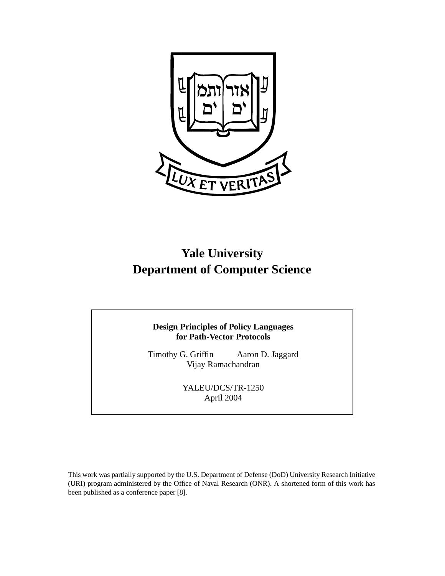

# **Yale University Department of Computer Science**

## **Design Principles of Policy Languages for Path-Vector Protocols**

Timothy G. Griffin Aaron D. Jaggard Vijay Ramachandran

> YALEU/DCS/TR-1250 April 2004

This work was partially supported by the U.S. Department of Defense (DoD) University Research Initiative (URI) program administered by the Office of Naval Research (ONR). A shortened form of this work has been published as a conference paper [8].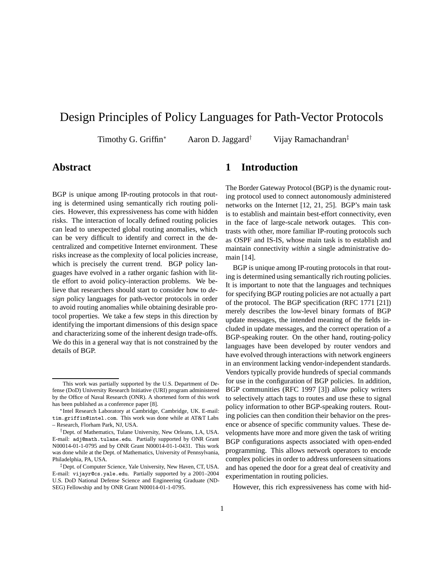## Design Principles of Policy Languages for Path-Vector Protocols

Timothy G. Griffin<sup>∗</sup> Aaron D. Jaggard<sup>†</sup> Vijay Ramachandran<sup>‡</sup>

## **Abstract**

BGP is unique among IP-routing protocols in that routing is determined using semantically rich routing policies. However, this expressiveness has come with hidden risks. The interaction of locally defined routing policies can lead to unexpected global routing anomalies, which can be very difficult to identify and correct in the decentralized and competitive Internet environment. These risks increase as the complexity of local policies increase, which is precisely the current trend. BGP policy languages have evolved in a rather organic fashion with little effort to avoid policy-interaction problems. We believe that researchers should start to consider how to *design* policy languages for path-vector protocols in order to avoid routing anomalies while obtaining desirable protocol properties. We take a few steps in this direction by identifying the important dimensions of this design space and characterizing some of the inherent design trade-offs. We do this in a general way that is not constrained by the details of BGP.

## **1 Introduction**

The Border Gateway Protocol (BGP) is the dynamic routing protocol used to connect autonomously administered networks on the Internet [12, 21, 25]. BGP's main task is to establish and maintain best-effort connectivity, even in the face of large-scale network outages. This contrasts with other, more familiar IP-routing protocols such as OSPF and IS-IS, whose main task is to establish and maintain connectivity *within* a single administrative domain [14].

BGP is unique among IP-routing protocols in that routing is determined using semantically rich routing policies. It is important to note that the languages and techniques for specifying BGP routing policies are not actually a part of the protocol. The BGP specification (RFC 1771 [21]) merely describes the low-level binary formats of BGP update messages, the intended meaning of the fields included in update messages, and the correct operation of a BGP-speaking router. On the other hand, routing-policy languages have been developed by router vendors and have evolved through interactions with network engineers in an environment lacking vendor-independent standards. Vendors typically provide hundreds of special commands for use in the configuration of BGP policies. In addition, BGP communities (RFC 1997 [3]) allow policy writers to selectively attach tags to routes and use these to signal policy information to other BGP-speaking routers. Routing policies can then condition their behavior on the presence or absence of specific community values. These developments have more and more given the task of writing BGP configurations aspects associated with open-ended programming. This allows network operators to encode complex policies in order to address unforeseen situations and has opened the door for a great deal of creativity and experimentation in routing policies.

However, this rich expressiveness has come with hid-

This work was partially supported by the U.S. Department of Defense (DoD) University Research Initiative (URI) program administered by the Office of Naval Research (ONR). A shortened form of this work has been published as a conference paper [8].

<sup>∗</sup>Intel Research Laboratory at Cambridge, Cambridge, UK. E-mail: tim.griffin@intel.com. This work was done while at AT&T Labs – Research, Florham Park, NJ, USA.

<sup>†</sup>Dept. of Mathematics, Tulane University, New Orleans, LA, USA. E-mail: adj@math.tulane.edu. Partially supported by ONR Grant N00014-01-1-0795 and by ONR Grant N00014-01-1-0431. This work was done while at the Dept. of Mathematics, University of Pennsylvania, Philadelphia, PA, USA.

<sup>‡</sup>Dept. of Computer Science, Yale University, New Haven, CT, USA. E-mail: vijayr@cs.yale.edu. Partially supported by a 2001–2004 U.S. DoD National Defense Science and Engineering Graduate (ND-SEG) Fellowship and by ONR Grant N00014-01-1-0795.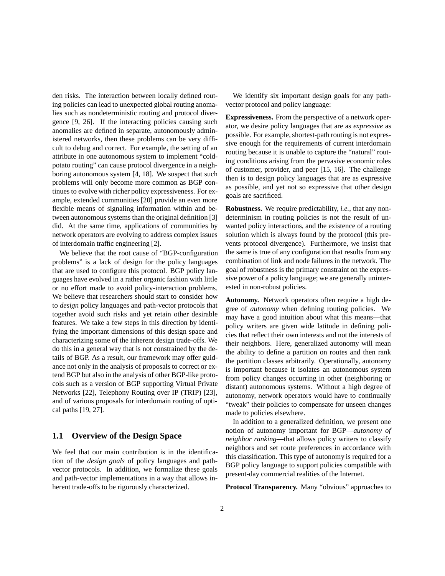den risks. The interaction between locally defined routing policies can lead to unexpected global routing anomalies such as nondeterministic routing and protocol divergence [9, 26]. If the interacting policies causing such anomalies are defined in separate, autonomously administered networks, then these problems can be very difficult to debug and correct. For example, the setting of an attribute in one autonomous system to implement "coldpotato routing" can cause protocol divergence in a neighboring autonomous system [4, 18]. We suspect that such problems will only become more common as BGP continues to evolve with richer policy expressiveness. For example, extended communities [20] provide an even more flexible means of signaling information within and between autonomous systems than the original definition [3] did. At the same time, applications of communities by network operators are evolving to address complex issues of interdomain traffic engineering [2].

We believe that the root cause of "BGP-configuration problems" is a lack of design for the policy languages that are used to configure this protocol. BGP policy languages have evolved in a rather organic fashion with little or no effort made to avoid policy-interaction problems. We believe that researchers should start to consider how to *design* policy languages and path-vector protocols that together avoid such risks and yet retain other desirable features. We take a few steps in this direction by identifying the important dimensions of this design space and characterizing some of the inherent design trade-offs. We do this in a general way that is not constrained by the details of BGP. As a result, our framework may offer guidance not only in the analysis of proposals to correct or extend BGP but also in the analysis of other BGP-like protocols such as a version of BGP supporting Virtual Private Networks [22], Telephony Routing over IP (TRIP) [23], and of various proposals for interdomain routing of optical paths [19, 27].

### **1.1 Overview of the Design Space**

We feel that our main contribution is in the identification of the *design goals* of policy languages and pathvector protocols. In addition, we formalize these goals and path-vector implementations in a way that allows inherent trade-offs to be rigorously characterized.

We identify six important design goals for any pathvector protocol and policy language:

**Expressiveness.** From the perspective of a network operator, we desire policy languages that are as *expressive* as possible. For example, shortest-path routing is not expressive enough for the requirements of current interdomain routing because it is unable to capture the "natural" routing conditions arising from the pervasive economic roles of customer, provider, and peer [15, 16]. The challenge then is to design policy languages that are as expressive as possible, and yet not so expressive that other design goals are sacrificed.

**Robustness.** We require predictability, *i.e.*, that any nondeterminism in routing policies is not the result of unwanted policy interactions, and the existence of a routing solution which is always found by the protocol (this prevents protocol divergence). Furthermore, we insist that the same is true of any configuration that results from any combination of link and node failures in the network. The goal of robustness is the primary constraint on the expressive power of a policy language; we are generally uninterested in non-robust policies.

**Autonomy.** Network operators often require a high degree of *autonomy* when defining routing policies. We may have a good intuition about what this means—that policy writers are given wide latitude in defining policies that reflect their own interests and not the interests of their neighbors. Here, generalized autonomy will mean the ability to define a partition on routes and then rank the partition classes arbitrarily. Operationally, autonomy is important because it isolates an autonomous system from policy changes occurring in other (neighboring or distant) autonomous systems. Without a high degree of autonomy, network operators would have to continually "tweak" their policies to compensate for unseen changes made to policies elsewhere.

In addition to a generalized definition, we present one notion of autonomy important for BGP—*autonomy of neighbor ranking*—that allows policy writers to classify neighbors and set route preferences in accordance with this classification. This type of autonomy is required for a BGP policy language to support policies compatible with present-day commercial realities of the Internet.

**Protocol Transparency.** Many "obvious" approaches to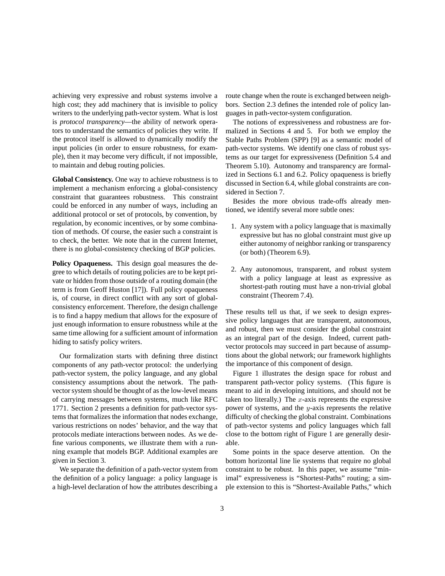achieving very expressive and robust systems involve a high cost; they add machinery that is invisible to policy writers to the underlying path-vector system. What is lost is *protocol transparency*—the ability of network operators to understand the semantics of policies they write. If the protocol itself is allowed to dynamically modify the input policies (in order to ensure robustness, for example), then it may become very difficult, if not impossible, to maintain and debug routing policies.

**Global Consistency.** One way to achieve robustness is to implement a mechanism enforcing a global-consistency constraint that guarantees robustness. This constraint could be enforced in any number of ways, including an additional protocol or set of protocols, by convention, by regulation, by economic incentives, or by some combination of methods. Of course, the easier such a constraint is to check, the better. We note that in the current Internet, there is no global-consistency checking of BGP policies.

**Policy Opaqueness.** This design goal measures the degree to which details of routing policies are to be kept private or hidden from those outside of a routing domain (the term is from Geoff Huston [17]). Full policy opaqueness is, of course, in direct conflict with any sort of globalconsistency enforcement. Therefore, the design challenge is to find a happy medium that allows for the exposure of just enough information to ensure robustness while at the same time allowing for a sufficient amount of information hiding to satisfy policy writers.

Our formalization starts with defining three distinct components of any path-vector protocol: the underlying path-vector system, the policy language, and any global consistency assumptions about the network. The pathvector system should be thought of as the low-level means of carrying messages between systems, much like RFC 1771. Section 2 presents a definition for path-vector systems that formalizes the information that nodes exchange, various restrictions on nodes' behavior, and the way that protocols mediate interactions between nodes. As we define various components, we illustrate them with a running example that models BGP. Additional examples are given in Section 3.

We separate the definition of a path-vector system from the definition of a policy language: a policy language is a high-level declaration of how the attributes describing a route change when the route is exchanged between neighbors. Section 2.3 defines the intended role of policy languages in path-vector-system configuration.

The notions of expressiveness and robustness are formalized in Sections 4 and 5. For both we employ the Stable Paths Problem (SPP) [9] as a semantic model of path-vector systems. We identify one class of robust systems as our target for expressiveness (Definition 5.4 and Theorem 5.10). Autonomy and transparency are formalized in Sections 6.1 and 6.2. Policy opaqueness is briefly discussed in Section 6.4, while global constraints are considered in Section 7.

Besides the more obvious trade-offs already mentioned, we identify several more subtle ones:

- 1. Any system with a policy language that is maximally expressive but has no global constraint must give up either autonomy of neighbor ranking or transparency (or both) (Theorem 6.9).
- 2. Any autonomous, transparent, and robust system with a policy language at least as expressive as shortest-path routing must have a non-trivial global constraint (Theorem 7.4).

These results tell us that, if we seek to design expressive policy languages that are transparent, autonomous, and robust, then we must consider the global constraint as an integral part of the design. Indeed, current pathvector protocols may succeed in part because of assumptions about the global network; our framework highlights the importance of this component of design.

Figure 1 illustrates the design space for robust and transparent path-vector policy systems. (This figure is meant to aid in developing intuitions, and should not be taken too literally.) The  $x$ -axis represents the expressive power of systems, and the y-axis represents the relative difficulty of checking the global constraint. Combinations of path-vector systems and policy languages which fall close to the bottom right of Figure 1 are generally desirable.

Some points in the space deserve attention. On the bottom horizontal line lie systems that require no global constraint to be robust. In this paper, we assume "minimal" expressiveness is "Shortest-Paths" routing; a simple extension to this is "Shortest-Available Paths," which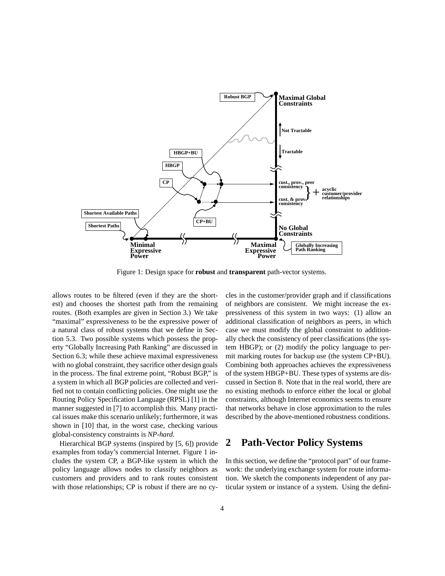

Figure 1: Design space for **robust** and **transparent** path-vector systems.

allows routes to be filtered (even if they are the shortest) and chooses the shortest path from the remaining routes. (Both examples are given in Section 3.) We take "maximal" expressiveness to be the expressive power of a natural class of robust systems that we define in Section 5.3. Two possible systems which possess the property "Globally Increasing Path Ranking" are discussed in Section 6.3; while these achieve maximal expressiveness with no global constraint, they sacrifice other design goals in the process. The final extreme point, "Robust BGP," is a system in which all BGP policies are collected and verified not to contain conflicting policies. One might use the Routing Policy Specification Language (RPSL) [1] in the manner suggested in [7] to accomplish this. Many practical issues make this scenario unlikely; furthermore, it was shown in [10] that, in the worst case, checking various global-consistency constraints is *NP-hard*.

Hierarchical BGP systems (inspired by [5, 6]) provide examples from today's commercial Internet. Figure 1 includes the system CP, a BGP-like system in which the policy language allows nodes to classify neighbors as customers and providers and to rank routes consistent with those relationships; CP is robust if there are no cycles in the customer/provider graph and if classifications of neighbors are consistent. We might increase the expressiveness of this system in two ways: (1) allow an additional classification of neighbors as peers, in which case we must modify the global constraint to additionally check the consistency of peer classifications (the system HBGP); or (2) modify the policy language to permit marking routes for backup use (the system CP+BU). Combining both approaches achieves the expressiveness of the system HBGP+BU. These types of systems are discussed in Section 8. Note that in the real world, there are no existing methods to enforce either the local or global constraints, although Internet economics seems to ensure that networks behave in close approximation to the rules described by the above-mentioned robustness conditions.

## **2 Path-Vector Policy Systems**

In this section, we define the "protocol part" of our framework: the underlying exchange system for route information. We sketch the components independent of any particular system or instance of a system. Using the defini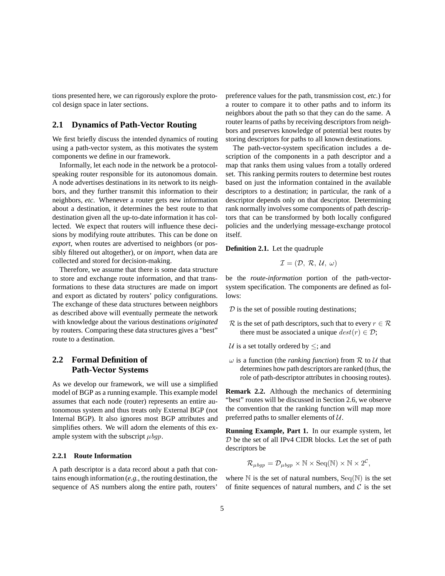tions presented here, we can rigorously explore the protocol design space in later sections.

### **2.1 Dynamics of Path-Vector Routing**

We first briefly discuss the intended dynamics of routing using a path-vector system, as this motivates the system components we define in our framework.

Informally, let each node in the network be a protocolspeaking router responsible for its autonomous domain. A node advertises destinations in its network to its neighbors, and they further transmit this information to their neighbors, *etc*. Whenever a router gets new information about a destination, it determines the best route to that destination given all the up-to-date information it has collected. We expect that routers will influence these decisions by modifying route attributes. This can be done on *export*, when routes are advertised to neighbors (or possibly filtered out altogether), or on *import*, when data are collected and stored for decision-making.

Therefore, we assume that there is some data structure to store and exchange route information, and that transformations to these data structures are made on import and export as dictated by routers' policy configurations. The exchange of these data structures between neighbors as described above will eventually permeate the network with knowledge about the various destinations *originated* by routers. Comparing these data structures gives a "best" route to a destination.

### **2.2 Formal Definition of Path-Vector Systems**

As we develop our framework, we will use a simplified model of BGP as a running example. This example model assumes that each node (router) represents an entire autonomous system and thus treats only External BGP (not Internal BGP). It also ignores most BGP attributes and simplifies others. We will adorn the elements of this example system with the subscript  $\mu$ *bgp*.

### **2.2.1 Route Information**

A path descriptor is a data record about a path that contains enough information (*e.g.*, the routing destination, the sequence of AS numbers along the entire path, routers'

preference values for the path, transmission cost, *etc.*) for a router to compare it to other paths and to inform its neighbors about the path so that they can do the same. A router learns of paths by receiving descriptors from neighbors and preserves knowledge of potential best routes by storing descriptors for paths to all known destinations.

The path-vector-system specification includes a description of the components in a path descriptor and a map that ranks them using values from a totally ordered set. This ranking permits routers to determine best routes based on just the information contained in the available descriptors to a destination; in particular, the rank of a descriptor depends only on that descriptor. Determining rank normally involves some components of path descriptors that can be transformed by both locally configured policies and the underlying message-exchange protocol itself.

**Definition 2.1.** Let the quadruple

$$
\mathcal{I}=(\mathcal{D},~\mathcal{R},~\mathcal{U},~\omega)
$$

be the *route-information* portion of the path-vectorsystem specification. The components are defined as follows:

 $D$  is the set of possible routing destinations;

- R is the set of path descriptors, such that to every  $r \in \mathcal{R}$ there must be associated a unique  $dest(r) \in \mathcal{D}$ ;
- $U$  is a set totally ordered by  $\leq$ ; and
- $\omega$  is a function (the *ranking function*) from  $\mathcal R$  to  $\mathcal U$  that determines how path descriptors are ranked (thus, the role of path-descriptor attributes in choosing routes).

**Remark 2.2.** Although the mechanics of determining "best" routes will be discussed in Section 2.6, we observe the convention that the ranking function will map more preferred paths to smaller elements of  $U$ .

**Running Example, Part 1.** In our example system, let  $D$  be the set of all IPv4 CIDR blocks. Let the set of path descriptors be

$$
\mathcal{R}_{\mu bgp} = \mathcal{D}_{\mu bgp} \times \mathbb{N} \times \text{Seq}(\mathbb{N}) \times \mathbb{N} \times 2^{\mathcal{C}},
$$

where  $\mathbb N$  is the set of natural numbers,  $\text{Seq}(\mathbb N)$  is the set of finite sequences of natural numbers, and  $\mathcal C$  is the set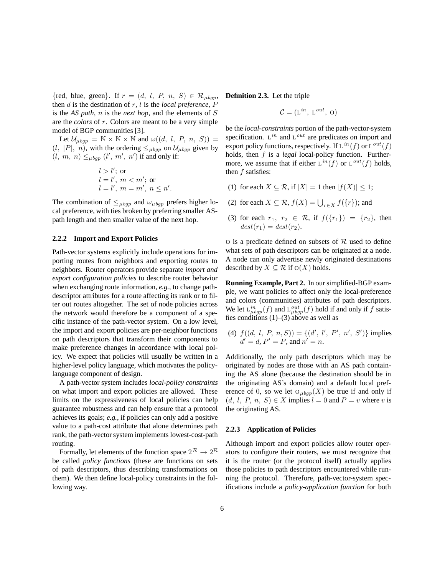{red, blue, green}. If  $r = (d, l, P, n, S) \in \mathcal{R}_{\mu bgp}$ , then d is the destination of r, l is the *local preference*, P is the *AS path*, n is the *next hop*, and the elements of S are the *colors* of r. Colors are meant to be a very simple model of BGP communities [3].

Let  $\mathcal{U}_{\mu b q p} = \mathbb{N} \times \mathbb{N} \times \mathbb{N}$  and  $\omega((d, l, P, n, S)) =$  $(l, |P|, n)$ , with the ordering  $\leq_{\mu \to q}$  on  $\mathcal{U}_{\mu \to q}$  given by  $(l, m, n) \leq_{\mu bgp} (l', m', n')$  if and only if:

$$
l > l'; \text{ or}
$$
  
\n
$$
l = l', m < m'; \text{ or}
$$
  
\n
$$
l = l', m = m', n \leq n'.
$$

The combination of  $\leq_{\mu bgp}$  and  $\omega_{\mu bgp}$  prefers higher local preference, with ties broken by preferring smaller ASpath length and then smaller value of the next hop.

### **2.2.2 Import and Export Policies**

Path-vector systems explicitly include operations for importing routes from neighbors and exporting routes to neighbors. Router operators provide separate *import and export configuration policies* to describe router behavior when exchanging route information, *e.g.*, to change pathdescriptor attributes for a route affecting its rank or to filter out routes altogether. The set of node policies across the network would therefore be a component of a specific instance of the path-vector system. On a low level, the import and export policies are per-neighbor functions on path descriptors that transform their components to make preference changes in accordance with local policy. We expect that policies will usually be written in a higher-level policy language, which motivates the policylanguage component of design.

A path-vector system includes *local-policy constraints* on what import and export policies are allowed. These limits on the expressiveness of local policies can help guarantee robustness and can help ensure that a protocol achieves its goals; *e.g.*, if policies can only add a positive value to a path-cost attribute that alone determines path rank, the path-vector system implements lowest-cost-path routing.

Formally, let elements of the function space  $2^R \rightarrow 2^R$ be called *policy functions* (these are functions on sets of path descriptors, thus describing transformations on them). We then define local-policy constraints in the following way.

**Definition 2.3.** Let the triple

$$
\mathcal{C} = (\mathbf{L}^{in}, \mathbf{L}^{out}, \mathbf{0})
$$

be the *local-constraints* portion of the path-vector-system specification. L*in* and L*out* are predicates on import and export policy functions, respectively. If  $L^{in}(f)$  or  $L^{out}(f)$ holds, then f is a *legal* local-policy function. Furthermore, we assume that if either  $L^{in}(f)$  or  $L^{out}(f)$  holds, then  $f$  satisfies:

- (1) for each  $X \subseteq \mathcal{R}$ , if  $|X| = 1$  then  $|f(X)| \leq 1$ ;
- (2) for each  $X \subseteq \mathcal{R}$ ,  $f(X) = \bigcup_{r \in X} f(\{r\})$ ; and
- (3) for each  $r_1, r_2 \in \mathcal{R}$ , if  $f(\{r_1\}) = \{r_2\}$ , then  $dest(r_1) = dest(r_2).$

O is a predicate defined on subsets of  $R$  used to define what sets of path descriptors can be originated at a node. A node can only advertise newly originated destinations described by  $X \subseteq \mathcal{R}$  if  $O(X)$  holds.

**Running Example, Part 2.** In our simplified-BGP example, we want policies to affect only the local-preference and colors (communities) attributes of path descriptors. We let  $L_{\mu bgp}^{in}(f)$  and  $L_{\mu bgp}^{out}(f)$  hold if and only if f satis-<br>fies conditions (1) (3) above as well as fies conditions  $(1)$ – $(3)$  above as well as

(4)  $f((d, l, P, n, S)) = {(d', l', P', n', S')}$  implies  $d' = d$ ,  $P' = P$ , and  $n' = n$ .

Additionally, the only path descriptors which may be originated by nodes are those with an AS path containing the AS alone (because the destination should be in the originating AS's domain) and a default local preference of 0, so we let  $O_{\mu bgp}(X)$  be true if and only if  $(d, l, P, n, S) \in X$  implies  $l = 0$  and  $P = v$  where v is the originating AS.

#### **2.2.3 Application of Policies**

Although import and export policies allow router operators to configure their routers, we must recognize that it is the router (or the protocol itself) actually applies those policies to path descriptors encountered while running the protocol. Therefore, path-vector-system specifications include a *policy-application function* for both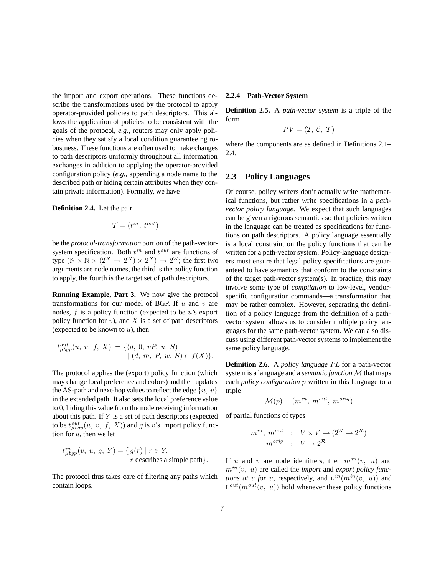the import and export operations. These functions describe the transformations used by the protocol to apply operator-provided policies to path descriptors. This allows the application of policies to be consistent with the goals of the protocol, *e.g.*, routers may only apply policies when they satisfy a local condition guaranteeing robustness. These functions are often used to make changes to path descriptors uniformly throughout all information exchanges in addition to applying the operator-provided configuration policy (*e.g.*, appending a node name to the described path or hiding certain attributes when they contain private information). Formally, we have

#### **Definition 2.4.** Let the pair

$$
\mathcal{T}=(t^{in},\ t^{out})
$$

be the *protocol-transformation* portion of the path-vectorsystem specification. Both  $t^{in}$  and  $t^{out}$  are functions of type  $(\mathbb{N} \times \mathbb{N} \times (2^{\mathcal{R}} \rightarrow 2^{\mathcal{R}}) \times 2^{\mathcal{R}}) \rightarrow 2^{\mathcal{R}}$ ; the first two arguments are node names, the third is the policy function to apply, the fourth is the target set of path descriptors.

**Running Example, Part 3.** We now give the protocol transformations for our model of BGP. If  $u$  and  $v$  are nodes,  $f$  is a policy function (expected to be  $u$ 's export policy function for  $v$ ), and  $X$  is a set of path descriptors (expected to be known to  $u$ ), then

$$
t_{\mu bgp}^{out}(u, v, f, X) = \{ (d, 0, vP, u, S) | (d, m, P, w, S) \in f(X) \}.
$$

The protocol applies the (export) policy function (which may change local preference and colors) and then updates the AS-path and next-hop values to reflect the edge  $\{u, v\}$ in the extended path. It also sets the local preference value to 0, hiding this value from the node receiving information about this path. If  $Y$  is a set of path descriptors (expected to be  $t_{\mu b g p}^{out}(u, v, f, X)$  and g is v's import policy func-<br>tion for u, then we let tion for  $u$ , then we let

$$
t_{\mu bgp}^{in}(v, u, g, Y) = \{ g(r) \mid r \in Y,
$$
  

$$
r \text{ describes a simple path} \}.
$$

The protocol thus takes care of filtering any paths which contain loops.

#### **2.2.4 Path-Vector System**

**Definition 2.5.** A *path-vector system* is a triple of the form

$$
PV = (\mathcal{I}, \mathcal{C}, \mathcal{T})
$$

where the components are as defined in Definitions 2.1– 2.4.

### **2.3 Policy Languages**

Of course, policy writers don't actually write mathematical functions, but rather write specifications in a *pathvector policy language*. We expect that such languages can be given a rigorous semantics so that policies written in the language can be treated as specifications for functions on path descriptors. A policy language essentially is a local constraint on the policy functions that can be written for a path-vector system. Policy-language designers must ensure that legal policy specifications are guaranteed to have semantics that conform to the constraints of the target path-vector system(s). In practice, this may involve some type of *compilation* to low-level, vendorspecific configuration commands—a transformation that may be rather complex. However, separating the definition of a policy language from the definition of a pathvector system allows us to consider multiple policy languages for the same path-vector system. We can also discuss using different path-vector systems to implement the same policy language.

**Definition 2.6.** A *policy language PL* for a path-vector system is a language and a *semantic function* M that maps each *policy configuration* p written in this language to a triple

$$
\mathcal{M}(p) = (m^{in}, m^{out}, m^{orig})
$$

of partial functions of types

$$
m^{in}, m^{out} : V \times V \to (2^R \to 2^R)
$$
  

$$
m^{orig} : V \to 2^R
$$

If u and v are node identifiers, then  $m^{in}(v, u)$  and  $m^{in}(v, u)$  are called the *import* and *export policy functions at v for* u, respectively, and  $L^{in}(m^{in}(v, u))$  and  $L^{out}(m^{out}(v, u))$  hold whenever these policy functions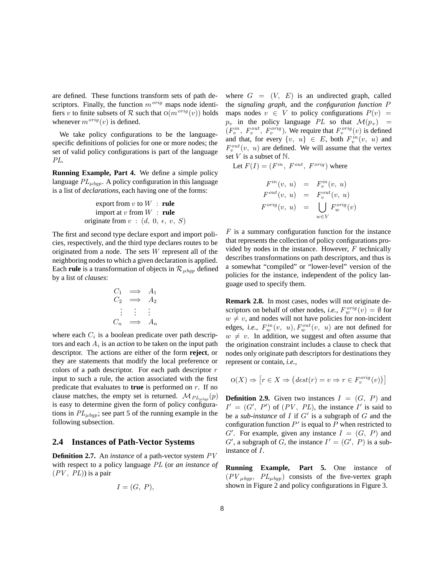are defined. These functions transform sets of path descriptors. Finally, the function  $m^{orig}$  maps node identifiers v to finite subsets of R such that  $O(m^{orig}(v))$  holds whenever  $m^{orig}(v)$  is defined.

We take policy configurations to be the languagespecific definitions of policies for one or more nodes; the set of valid policy configurations is part of the language *PL*.

**Running Example, Part 4.** We define a simple policy language  $PL_{\mu\nu}$ . A policy configuration in this language is a list of *declarations*, each having one of the forms:

\n export from 
$$
v
$$
 to  $W$ : rule  
\n import at  $v$  from  $W$ : rule  
\n originate from  $v$ :  $(d, 0, \epsilon, v, S)$ \n

The first and second type declare export and import policies, respectively, and the third type declares routes to be originated from a node. The sets W represent all of the neighboring nodes to which a given declaration is applied. Each **rule** is a transformation of objects in  $\mathcal{R}_{\mu \nu}$  defined by a list of *clauses*:

$$
\begin{array}{rcl}\nC_1 & \Longrightarrow & A_1 \\
C_2 & \Longrightarrow & A_2 \\
\vdots & \vdots & \vdots \\
C_n & \Longrightarrow & A_n\n\end{array}
$$

where each  $C_i$  is a boolean predicate over path descriptors and each  $A_i$  is an *action* to be taken on the input path descriptor. The actions are either of the form **reject**, or they are statements that modify the local preference or colors of a path descriptor. For each path descriptor  $r$ input to such a rule, the action associated with the first predicate that evaluates to **true** is performed on r. If no clause matches, the empty set is returned.  $\mathcal{M}_{PL<sub>ubon</sub>}(p)$ is easy to determine given the form of policy configurations in  $PL_{\mu bqp}$ ; see part 5 of the running example in the following subsection.

### **2.4 Instances of Path-Vector Systems**

**Definition 2.7.** An *instance* of a path-vector system *PV* with respect to a policy language *PL* (or *an instance of*  $(PV, PL)$  is a pair

$$
I=(G,\ P),
$$

where  $G = (V, E)$  is an undirected graph, called the *signaling graph*, and the *configuration function* P maps nodes  $v \in V$  to policy configurations  $P(v) =$  $p_v$  in the policy language *PL* so that  $\mathcal{M}(p_v)$  =  $(F_v^{in}, F_v^{out}, F_v^{orig})$ . We require that  $F_v^{orig}(v)$  is defined and that, for every  $\{v, u\} \in E$ , both  $F_v^{in}(v, u)$  and  $F_v^{out}(v, u)$  are defined. We will assume that the vertex set  $V$  is a subset of  $\mathbb N$ .

Let  $F(I) = (F^{in}, F^{out}, F^{orig})$  where

$$
F^{in}(v, u) = F_v^{in}(v, u)
$$
  
\n
$$
F^{out}(v, u) = F_v^{out}(v, u)
$$
  
\n
$$
F^{orig}(v, u) = \bigcup_{w \in V} F_w^{orig}(v)
$$

*F* is a summary configuration function for the instance that represents the collection of policy configurations provided by nodes in the instance. However, *F* technically describes transformations on path descriptors, and thus is a somewhat "compiled" or "lower-level" version of the policies for the instance, independent of the policy language used to specify them.

**Remark 2.8.** In most cases, nodes will not originate descriptors on behalf of other nodes, *i.e.*,  $F_w^{orig}(v) = \emptyset$  for  $w \neq v$ , and nodes will not have policies for non-incident edges, *i.e.*,  $F_w^{in}(v, u)$ ,  $F_w^{out}(v, u)$  are not defined for  $w \neq v$ . In addition, we suggest and often assume that the origination constraint includes a clause to check that nodes only originate path descriptors for destinations they represent or contain, *i.e.*,

$$
\mathcal{O}(X) \Rightarrow \left[ r \in X \Rightarrow \left( dest(r) = v \Rightarrow r \in F_v^{orig}(v) \right) \right]
$$

**Definition 2.9.** Given two instances  $I = (G, P)$  and  $I' = (G', P')$  of  $(PV, PL)$ , the instance I' is said to be a *sub-instance* of  $I$  if  $G'$  is a subgraph of  $G$  and the configuration function  $P'$  is equal to P when restricted to  $G'$ . For example, given any instance  $I = (G, P)$  and  $G'$ , a subgraph of G, the instance  $I' = (G', P)$  is a subinstance of I.

**Running Example, Part 5.** One instance of  $(PV_{\mu bqp}, PL_{\mu bqp})$  consists of the five-vertex graph shown in Figure 2 and policy configurations in Figure 3.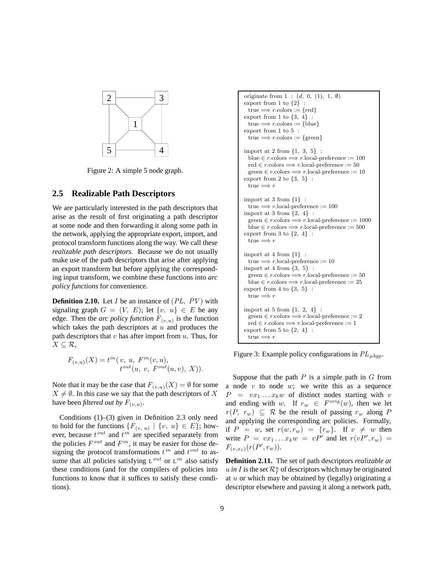

Figure 2: A simple 5 node graph.

### **2.5 Realizable Path Descriptors**

We are particularly interested in the path descriptors that arise as the result of first originating a path descriptor at some node and then forwarding it along some path in the network, applying the appropriate export, import, and protocol transform functions along the way. We call these *realizable path descriptors*. Because we do not usually make use of the path descriptors that arise after applying an export transform but before applying the corresponding input transform, we combine these functions into *arc policy functions* for convenience.

**Definition 2.10.** Let I be an instance of (*PL*, *PV* ) with signaling graph  $G = (V, E)$ ; let  $\{v, u\} \in E$  be any edge. Then the *arc policy function*  $F_{(v,u)}$  is the function which takes the path descriptors at  $u$  and produces the path descriptors that  $v$  has after import from  $u$ . Thus, for  $X \subseteq \mathcal{R}$ ,

$$
F_{(v,u)}(X) = t^{in}(v, u, F^{in}(v, u),
$$
  

$$
t^{out}(u, v, F^{out}(u, v), X)).
$$

Note that it may be the case that  $F_{(v,u)}(X) = \emptyset$  for some  $X \neq \emptyset$ . In this case we say that the path descriptors of X have been *filtered out by*  $F_{(v,u)}$ .

Conditions (1)–(3) given in Definition 2.3 only need to hold for the functions  $\{F_{(v, u)} \mid \{v, u\} \in E\}$ ; however, because t*out* and t*in* are specified separately from the policies  $F^{out}$  and  $F^{in}$ , it may be easier for those designing the protocol transformations  $t^{in}$  and  $t^{out}$  to assume that all policies satisfying L*out* or L*in* also satisfy these conditions (and for the compilers of policies into functions to know that it suffices to satisfy these conditions).

```
originate from 1 : (d, 0, (1), 1, ∅)
export from 1 to \{2\}true \Longrightarrow r \cdot \text{colors} := \{ red\}export from 1 to {3, 4} :
  true \Longrightarrow r.colors := {blue}
export from 1 to 5 :
  true \Longrightarrow r.colors := {green}
import at 2 from {1, 3, 5} :
  blue \in r.colors \Longrightarrow r.local-preference := 100
  red \in r \cdot colors \Longrightarrow r \cdot local\text{-}preference := 50green \in r.\text{colors} \Longrightarrow r.\text{local-preference} := 10export from 2 to {3, 5} :
  true \Longrightarrow r
import at 3 from {1} :
 true \Longrightarrow r.local-preference := 100
import at 3 from {2, 4} :
  \textit{green} \in r.\textit{colors} \Longrightarrow r.\textit{local-preference} := 1000blue \in r.colors \Longrightarrow r.local-preference := 500
export from 3 to {2, 4} :
  true \Longrightarrow r
import at 4 from {1} :
  true \Longrightarrow r.local-preference := 10
import at 4 from {3, 5} :
  green \in r.\text{colors} \Longrightarrow r.\text{local-preference} := 50blue \in r.colors \Longrightarrow r.local-preference := 25
export from 4 to \{3, 5\}:
  true \Longrightarrow r
import at 5 from {1, 2, 4} :
  green \in r.colors \Longrightarrow r.local-preference := 2
  red \in r \cdot colors \Longrightarrow r \cdot local \cdot preference := 1export from 5 to {2, 4} :
  true \Longrightarrow r
```
Figure 3: Example policy configurations in  $PL_{\mu{bqp}}$ .

Suppose that the path  $P$  is a simple path in  $G$  from a node  $v$  to node  $w$ ; we write this as a sequence  $P = vx_1 \dots x_k w$  of distinct nodes starting with v and ending with w. If  $r_w \in F^{orig}(w)$ , then we let  $r(P, r_w) \subseteq \mathcal{R}$  be the result of passing  $r_w$  along P and applying the corresponding arc policies. Formally, if  $P = w$ , set  $r(w, r_w) = \{r_w\}$ . If  $v \neq w$  then write  $P = vx_1 \dots x_kw = vP'$  and let  $r(vP', r_w) =$  $F_{(v,x_1)}(r(P',r_w)).$ 

**Definition 2.11.** The set of path descriptors *realizable at*  $u$  *in I* is the set  $\mathcal{R}_I^u$  of descriptors which may be originated at u or which may be obtained by (legally) originating a descriptor elsewhere and passing it along a network path,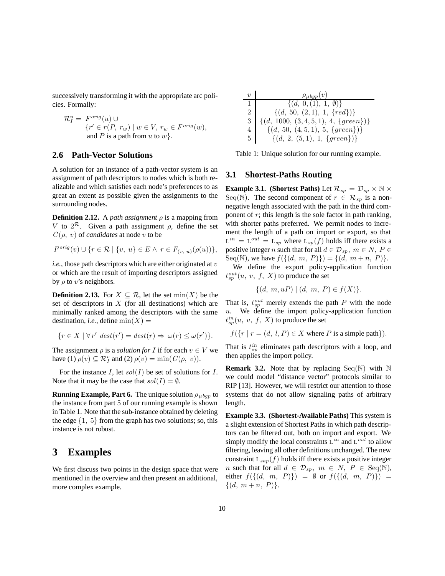successively transforming it with the appropriate arc policies. Formally:

$$
\mathcal{R}_I^u = F^{orig}(u) \cup \n\{r' \in r(P, r_w) \mid w \in V, r_w \in F^{orig}(w), \nand P is a path from u to w\}.
$$

### **2.6 Path-Vector Solutions**

A solution for an instance of a path-vector system is an assignment of path descriptors to nodes which is both realizable and which satisfies each node's preferences to as great an extent as possible given the assignments to the surrounding nodes.

**Definition 2.12.** A *path assignment*  $\rho$  is a mapping from V to  $2^{\mathcal{R}}$ . Given a path assignment  $\rho$ , define the set  $C(\rho, v)$  of *candidates* at node v to be

$$
F^{org}(v) \cup \{r \in \mathcal{R} \mid \{v, u\} \in E \land r \in F_{(v, u)}(\rho(u))\},\
$$

 $i.e.,$  those path descriptors which are either originated at  $v$ or which are the result of importing descriptors assigned by  $\rho$  to v's neighbors.

**Definition 2.13.** For  $X \subseteq \mathcal{R}$ , let the set  $\min(X)$  be the set of descriptors in  $X$  (for all destinations) which are minimally ranked among the descriptors with the same destination, *i.e.*, define  $min(X)$  =

$$
\{r \in X \mid \forall r' \; dest(r') = dest(r) \Rightarrow \omega(r) \le \omega(r')\}.
$$

The assignment  $\rho$  is a *solution for* I if for each  $v \in V$  we have (1)  $\rho(v) \subseteq \mathcal{R}_I^v$  and (2)  $\rho(v) = \min(C(\rho, v)).$ 

For the instance  $I$ , let  $sol(I)$  be set of solutions for  $I$ . Note that it may be the case that  $\mathit{sol}(I) = \emptyset$ .

**Running Example, Part 6.** The unique solution  $\rho_{\mu}$  to the instance from part 5 of our running example is shown in Table 1. Note that the sub-instance obtained by deleting the edge  $\{1, 5\}$  from the graph has two solutions; so, this instance is not robust.

## **3 Examples**

We first discuss two points in the design space that were mentioned in the overview and then present an additional, more complex example.

| v | $\rho_{\mu bgp}(v)$                         |
|---|---------------------------------------------|
| 1 | $\{(d, 0, (1), 1, \emptyset)\}$             |
| 2 | $\{(d, 50, (2, 1), 1, \{red\})\}$           |
| 3 | $\{(d, 1000, (3, 4, 5, 1), 4, \{green\})\}$ |
| 4 | $\{(d, 50, (4, 5, 1), 5, \{green\})\}$      |
| 5 | $\{(d, 2, (5, 1), 1, \{green\})\}$          |

Table 1: Unique solution for our running example.

### **3.1 Shortest-Paths Routing**

**Example 3.1.** (Shortest Paths) Let  $\mathcal{R}_{sp} = \mathcal{D}_{sp} \times \mathbb{N} \times$ Seq(N). The second component of  $r \in \mathcal{R}_{sp}$  is a nonnegative length associated with the path in the third component of  $r$ ; this length is the sole factor in path ranking, with shorter paths preferred. We permit nodes to increment the length of a path on import or export, so that  $L^{in} = L^{out} = L_{sp}$  where  $L_{sp}(f)$  holds iff there exists a positive integer *n* such that for all  $d \in \mathcal{D}_{sp}$ ,  $m \in N$ ,  $P \in$ Seq(N), we have  $f({(d, m, P)})= {(d, m+n, P)}.$ 

We define the export policy-application function  $t_{sp}^{out}(u, v, f, X)$  to produce the set

$$
\{(d, m, uP) \mid (d, m, P) \in f(X)\}.
$$

That is,  $t_{sp}^{out}$  merely extends the path P with the node<br><sup>21</sup> We define the import policy application function  $u$ . We define the import policy-application function  $t_{sp}^{in}(u, v, f, X)$  to produce the set

 $f({r | r = (d, l, P) \in X \text{ where } P \text{ is a simple path}}).$ 

That is  $t_{sp}^{in}$  eliminates path descriptors with a loop, and then applies the import policy then applies the import policy.

**Remark 3.2.** Note that by replacing  $Seq(\mathbb{N})$  with  $\mathbb{N}$ we could model "distance vector" protocols similar to RIP [13]. However, we will restrict our attention to those systems that do not allow signaling paths of arbitrary length.

**Example 3.3. (Shortest-Available Paths)** This system is a slight extension of Shortest Paths in which path descriptors can be filtered out, both on import and export. We simply modify the local constraints L*in* and L*out* to allow filtering, leaving all other definitions unchanged. The new constraint  $L_{\text{gap}}(f)$  holds iff there exists a positive integer *n* such that for all  $d \in \mathcal{D}_{sp}$ ,  $m \in N$ ,  $P \in \text{Seq}(\mathbb{N})$ , either  $f({(d, m, P)} ) = \emptyset$  or  $f({(d, m, P)} ) =$  $\{(d, m+n, P)\}.$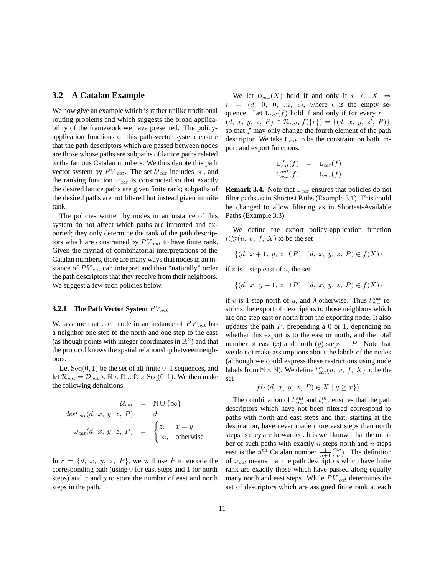### **3.2 A Catalan Example**

We now give an example which is rather unlike traditional routing problems and which suggests the broad applicability of the framework we have presented. The policyapplication functions of this path-vector system ensure that the path descriptors which are passed between nodes are those whose paths are subpaths of lattice paths related to the famous Catalan numbers. We thus denote this path vector system by  $PV_{cat}$ . The set  $U_{cat}$  includes  $\infty$ , and the ranking function  $\omega_{cat}$  is constructed so that exactly the desired lattice paths are given finite rank; subpaths of the desired paths are not filtered but instead given infinite rank.

The policies written by nodes in an instance of this system do not affect which paths are imported and exported; they only determine the rank of the path descriptors which are constrained by *PV cat* to have finite rank. Given the myriad of combinatorial interpretations of the Catalan numbers, there are many ways that nodes in an instance of *PV cat* can interpret and then "naturally" order the path descriptors that they receive from their neighbors. We suggest a few such policies below.

#### **3.2.1 The Path Vector System**  $PV_{cat}$

We assume that each node in an instance of *PV cat* has a neighbor one step to the north and one step to the east (as though points with integer coordinates in  $\mathbb{R}^2$ ) and that the protocol knows the spatial relationship between neighbors.

Let  $Seq(0, 1)$  be the set of all finite 0–1 sequences, and let  $\mathcal{R}_{cat} = \mathcal{D}_{cat} \times \mathbb{N} \times \mathbb{N} \times \text{Seq}(0, 1)$ . We then make the following definitions.

$$
\mathcal{U}_{cat} = \mathbb{N} \cup \{\infty\}
$$
  

$$
dest_{cat}(d, x, y, z, P) = d
$$
  

$$
\omega_{cat}(d, x, y, z, P) = \begin{cases} z, & x = y \\ \infty, & \text{otherwise} \end{cases}
$$

In  $r = \{d, x, y, z, P\}$ , we will use P to encode the corresponding path (using 0 for east steps and 1 for north steps) and x and y to store the number of east and north steps in the path.

We let  $O_{cat}(X)$  hold if and only if  $r \in X \Rightarrow$  $r = (d, 0, 0, m, \epsilon)$ , where  $\epsilon$  is the empty sequence. Let  $L_{cat}(f)$  hold if and only if for every  $r =$  $(d, x, y, z, P) \in \mathcal{R}_{cat}, f(\lbrace r \rbrace) = \lbrace (d, x, y, z', P) \rbrace,$ so that  $f$  may only change the fourth element of the path descriptor. We take <sup>L</sup>*cat* to be the constraint on both import and export functions.

$$
L_{cat}^{in}(f) = L_{cat}(f)
$$
  
\n
$$
L_{cat}^{out}(f) = L_{cat}(f)
$$

**Remark 3.4.** Note that <sup>L</sup>*cat* ensures that policies do not filter paths as in Shortest Paths (Example 3.1). This could be changed to allow filtering as in Shortest-Available Paths (Example 3.3).

We define the export policy-application function  $t_{cat}^{out}(u, v, f, X)$  to be the set

$$
\{(d, x+1, y, z, 0P) | (d, x, y, z, P) \in f(X)\}\
$$

if v is 1 step east of u, the set

$$
\{(d, x, y+1, z, 1P) | (d, x, y, z, P) \in f(X)\}\
$$

if v is 1 step north of u, and  $\emptyset$  otherwise. Thus  $t_{cat}^{out}$  restricts the export of descriptors to those neighbors which are one step east or north from the exporting node. It also updates the path  $P$ , prepending a 0 or 1, depending on whether this export is to the east or north, and the total number of east  $(x)$  and north  $(y)$  steps in P. Note that we do not make assumptions about the labels of the nodes (although we could express these restrictions using node labels from  $\mathbb{N} \times \mathbb{N}$ ). We define  $t_{cat}^{in}(u, v, f, X)$  to be the set

$$
f(\{(d, x, y, z, P) \in X \mid y \geq x\}).
$$

The combination of  $t_{cat}^{out}$  and  $t_{cat}^{in}$  ensures that the path<br>scriptors which have not been filtered correspond to descriptors which have not been filtered correspond to paths with north and east steps and that, starting at the destination, have never made more east steps than north steps as they are forwarded. It is well known that the number of such paths with exactly  $n$  steps north and  $n$  steps east is the  $n^{\text{th}}$  Catalan number  $\frac{1}{n+1} {2n \choose n}$ . The definition of <sup>ω</sup>*cat* means that the path descriptors which have finite rank are exactly those which have passed along equally many north and east steps. While *PV cat* determines the set of descriptors which are assigned finite rank at each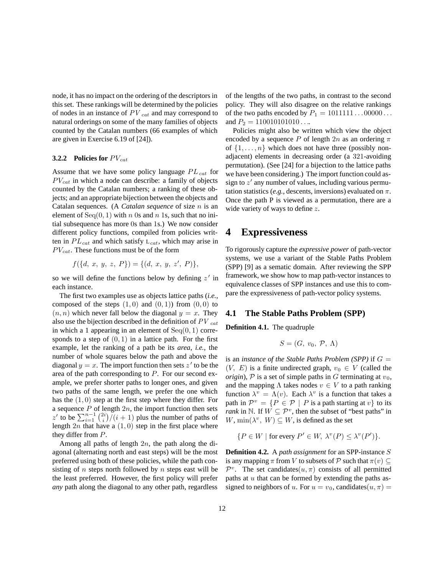node, it has no impact on the ordering of the descriptors in this set. These rankings will be determined by the policies of nodes in an instance of *PV cat* and may correspond to natural orderings on some of the many families of objects counted by the Catalan numbers (66 examples of which are given in Exercise 6.19 of [24]).

#### **3.2.2 Policies for**  $PV_{cat}$

Assume that we have some policy language  $PL_{cat}$  for  $PV_{cat}$  in which a node can describe: a family of objects counted by the Catalan numbers; a ranking of these objects; and an appropriate bijection between the objects and Catalan sequences. (A *Catalan sequence* of size n is an element of Seq $(0, 1)$  with n 0s and n 1s, such that no initial subsequence has more 0s than 1s.) We now consider different policy functions, compiled from policies written in  $PL_{cat}$  and which satisfy  $L_{cat}$ , which may arise in  $PV_{cat}$ . These functions must be of the form

$$
f({d, x, y, z, P}) = {(d, x, y, z', P)},
$$

so we will define the functions below by defining  $z'$  in each instance.

The first two examples use as objects lattice paths (*i.e.*, composed of the steps  $(1, 0)$  and  $(0, 1)$  from  $(0, 0)$  to  $(n, n)$  which never fall below the diagonal  $y = x$ . They also use the bijection described in the definition of *PV cat* in which a 1 appearing in an element of  $Seq(0, 1)$  corresponds to a step of  $(0, 1)$  in a lattice path. For the first example, let the ranking of a path be its *area*, *i.e.*, the number of whole squares below the path and above the diagonal  $y = x$ . The import function then sets  $z'$  to be the area of the path corresponding to P. For our second example, we prefer shorter paths to longer ones, and given two paths of the same length, we prefer the one which has the  $(1, 0)$  step at the first step where they differ. For a sequence  $P$  of length  $2n$ , the import function then sets z' to be  $\sum_{i=1}^{n-1} \binom{2i}{i}$  (i + 1) plus the number of paths of length  $2n$  that have a  $(1, 0)$  step in the first place where they differ from P.

Among all paths of length  $2n$ , the path along the diagonal (alternating north and east steps) will be the most preferred using both of these policies, while the path consisting of n steps north followed by n steps east will be the least preferred. However, the first policy will prefer *any* path along the diagonal to any other path, regardless of the lengths of the two paths, in contrast to the second policy. They will also disagree on the relative rankings of the two paths encoded by  $P_1 = 1011111 \dots 00000 \dots$ and  $P_2 = 110010101010...$ 

Policies might also be written which view the object encoded by a sequence P of length  $2n$  as an ordering  $\pi$ of  $\{1,\ldots,n\}$  which does not have three (possibly nonadjacent) elements in decreasing order (a 321-avoiding permutation). (See [24] for a bijection to the lattice paths we have been considering.) The import function could assign to  $z'$  any number of values, including various permutation statistics (*e.g.*, descents, inversions) evaluated on  $\pi$ . Once the path P is viewed as a permutation, there are a wide variety of ways to define z.

### **4 Expressiveness**

To rigorously capture the *expressive power* of path-vector systems, we use a variant of the Stable Paths Problem (SPP) [9] as a sematic domain. After reviewing the SPP framework, we show how to map path-vector instances to equivalence classes of SPP instances and use this to compare the expressiveness of path-vector policy systems.

### **4.1 The Stable Paths Problem (SPP)**

**Definition 4.1.** The quadruple

$$
S=(G, v_0, \mathcal{P}, \Lambda)
$$

is an *instance of the Stable Paths Problem (SPP)* if  $G =$  $(V, E)$  is a finite undirected graph,  $v_0 \in V$  (called the *origin*),  $P$  is a set of simple paths in G terminating at  $v_0$ , and the mapping  $\Lambda$  takes nodes  $v \in V$  to a path ranking function  $\lambda^v = \Lambda(v)$ . Each  $\lambda^v$  is a function that takes a path in  $\mathcal{P}^v = \{P \in \mathcal{P} \mid P \text{ is a path starting at } v\}$  to its *rank* in N. If  $W \subseteq \mathcal{P}^v$ , then the subset of "best paths" in  $W$ ,  $\min(\lambda^v, W) \subseteq W$ , is defined as the set

$$
\{P \in W \mid \text{for every } P' \in W, \ \lambda^v(P) \le \lambda^v(P')\}.
$$

**Definition 4.2.** A *path assignment* for an SPP-instance S is any mapping  $\pi$  from V to subsets of P such that  $\pi(v) \subset$  $\mathcal{P}^v$ . The set candidates $(u, \pi)$  consists of all permitted paths at  $u$  that can be formed by extending the paths assigned to neighbors of u. For  $u = v_0$ , candidates $(u, \pi)$  =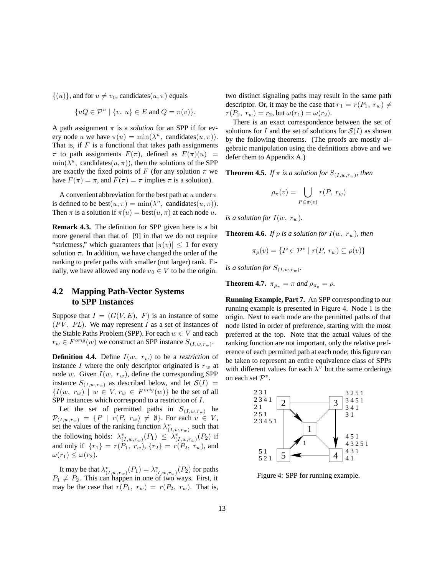$\{(u)\}\$ , and for  $u \neq v_0$ , candidates $(u, \pi)$  equals

$$
\{uQ \in \mathcal{P}^u \mid \{v, u\} \in E \text{ and } Q = \pi(v)\}.
$$

A path assignment  $\pi$  is a *solution* for an SPP if for every node u we have  $\pi(u) = \min(\lambda^u, \text{ candidates}(u, \pi)).$ That is, if  $F$  is a functional that takes path assignments  $\pi$  to path assignments  $F(\pi)$ , defined as  $F(\pi)(u)$  =  $\min(\lambda^u, \text{ candidates}(u, \pi))$ , then the solutions of the SPP are exactly the fixed points of F (for any solution  $\pi$  we have  $F(\pi) = \pi$ , and  $F(\pi) = \pi$  implies  $\pi$  is a solution).

A convenient abbreviation for the best path at u under  $\pi$ is defined to be  $best(u, \pi) = min(\lambda^u,$  candidates $(u, \pi)$ . Then  $\pi$  is a solution if  $\pi(u) = \text{best}(u, \pi)$  at each node u.

**Remark 4.3.** The definition for SPP given here is a bit more general than that of [9] in that we do not require "strictness," which guarantees that  $|\pi(v)| \leq 1$  for every solution  $\pi$ . In addition, we have changed the order of the ranking to prefer paths with smaller (not larger) rank. Finally, we have allowed any node  $v_0 \in V$  to be the origin.

### **4.2 Mapping Path-Vector Systems to SPP Instances**

Suppose that  $I = (G(V, E), F)$  is an instance of some  $(PV, PL)$ . We may represent I as a set of instances of the Stable Paths Problem (SPP). For each  $w \in V$  and each  $r_w \in F^{orig}(w)$  we construct an SPP instance  $S_{(I,w,r_w)}$ .

**Definition 4.4.** Define  $I(w, r_w)$  to be a *restriction* of instance I where the only descriptor originated is  $r_w$  at node w. Given  $I(w, r_w)$ , define the corresponding SPP instance  $S_{(I,w,r_w)}$  as described below, and let  $S(I)$  =  ${I(w, r_w) \mid w \in V, r_w \in F^{orig}(w)}$  be the set of all SPP instances which correspond to a restriction of I.

Let the set of permitted paths in  $S_{(I,w,r_w)}$  be  $\mathcal{P}_{(I,w,r_w)} = \{P \mid r(P, r_w) \neq \emptyset\}$ . For each  $v \in V$ , set the values of the ranking function  $\lambda_{(I,w,r_w)}^v$  such that the following holds:  $\lambda^v_{(I,w,r_w)}(P_1) \leq \lambda^v_{(I,w,r_w)}(P_2)$  if and only if  $\{r_1\} = r(P_1, r_w), \{r_2\} = r(P_2, r_w)$ , and  $\omega(r_1) \leq \omega(r_2)$ .

It may be that  $\lambda_{(I,w,r_w)}^v(P_1) = \lambda_{(I,w,r_w)}^v(P_2)$  for paths  $P_1 \neq P_2$ . This can happen in one of two ways. First, it may be the case that  $r(P_1, r_w) = r(P_2, r_w)$ . That is, two distinct signaling paths may result in the same path descriptor. Or, it may be the case that  $r_1 = r(P_1, r_w) \neq$  $r(P_2, r_w) = r_2$ , but  $\omega(r_1) = \omega(r_2)$ .

There is an exact correspondence between the set of solutions for I and the set of solutions for  $S(I)$  as shown by the following theorems. (The proofs are mostly algebraic manipulation using the definitions above and we defer them to Appendix A.)

**Theorem 4.5.** *If*  $\pi$  *is a solution for*  $S_{(I,w,r_w)}$ *, then* 

$$
\rho_{\pi}(v) = \bigcup_{P \in \pi(v)} r(P, r_w)
$$

*is a solution for*  $I(w, r_w)$ *.* 

**Theorem 4.6.** *If*  $\rho$  *is a solution for*  $I(w, r_w)$ *, then* 

$$
\pi_{\rho}(v) = \{ P \in \mathcal{P}^v \mid r(P, r_w) \subseteq \rho(v) \}
$$

*is a solution for*  $S_{(I,w,r_w)}$ .

**Theorem 4.7.**  $\pi_{\rho_{\pi}} = \pi$  and  $\rho_{\pi_{\rho}} = \rho$ .

**Running Example, Part 7.** An SPP corresponding to our running example is presented in Figure 4. Node 1 is the origin. Next to each node are the permitted paths of that node listed in order of preference, starting with the most preferred at the top. Note that the actual values of the ranking function are not important, only the relative preference of each permitted path at each node; this figure can be taken to represent an entire equivalence class of SPPs with different values for each  $\lambda^v$  but the same orderings on each set  $\mathcal{P}^v$ .



Figure 4: SPP for running example.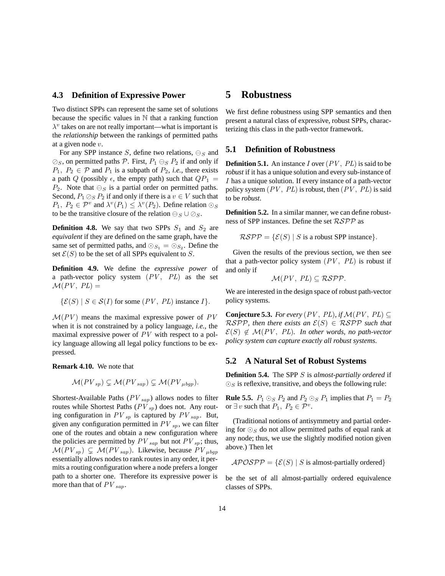### **4.3 Definition of Expressive Power**

Two distinct SPPs can represent the same set of solutions because the specific values in  $\mathbb N$  that a ranking function  $\lambda^v$  takes on are not really important—what is important is the *relationship* between the rankings of permitted paths at a given node  $v$ .

For any SPP instance S, define two relations,  $\ominus_S$  and  $\oslash$  s, on permitted paths P. First,  $P_1 \ominus_S P_2$  if and only if  $P_1, P_2 \in \mathcal{P}$  and  $P_1$  is a subpath of  $P_2$ , *i.e.*, there exists a path Q (possibly  $\epsilon$ , the empty path) such that  $QP_1$  =  $P_2$ . Note that  $\ominus_S$  is a partial order on permitted paths. Second,  $P_1 \oslash_S P_2$  if and only if there is a  $v \in V$  such that  $P_1, P_2 \in \mathcal{P}^v$  and  $\lambda^v(P_1) \leq \lambda^v(P_2)$ . Define relation  $\odot_S$ to be the transitive closure of the relation  $\ominus_S \cup \oslash_S$ .

**Definition 4.8.** We say that two SPPs  $S_1$  and  $S_2$  are *equivalent* if they are defined on the same graph, have the same set of permitted paths, and  $\odot_{S_1} = \odot_{S_2}$ . Define the set  $\mathcal{E}(S)$  to be the set of all SPPs equivalent to S.

**Definition 4.9.** We define the *expressive power* of a path-vector policy system  $(PV, PL)$  as the set  $\mathcal{M}(PV, PL) =$ 

$$
\{\mathcal{E}(S) \mid S \in \mathcal{S}(I) \text{ for some } (PV, PL) \text{ instance } I\}.
$$

 $M(PV)$  means the maximal expressive power of  $PV$ when it is not constrained by a policy language, *i.e.*, the maximal expressive power of *PV* with respect to a policy language allowing all legal policy functions to be expressed.

**Remark 4.10.** We note that

$$
\mathcal{M}(PV_{sp}) \subsetneq \mathcal{M}(PV_{sap}) \subsetneq \mathcal{M}(PV_{\mu bgp}).
$$

Shortest-Available Paths (*PV sap*) allows nodes to filter routes while Shortest Paths (*PV sp*) does not. Any routing configuration in  $PV_{sp}$  is captured by  $PV_{sap}$ . But, given any configuration permitted in  $PV_{sp}$ , we can filter one of the routes and obtain a new configuration where the policies are permitted by  $PV_{\text{sap}}$  but not  $PV_{\text{sp}}$ ; thus,  $\mathcal{M}(PV_{sp}) \subseteq \mathcal{M}(PV_{sap})$ . Likewise, because  $PV_{\mu bqp}$ essentially allows nodes to rank routes in any order, it permits a routing configuration where a node prefers a longer path to a shorter one. Therefore its expressive power is more than that of *PV sap*.

### **5 Robustness**

We first define robustness using SPP semantics and then present a natural class of expressive, robust SPPs, characterizing this class in the path-vector framework.

### **5.1 Definition of Robustness**

**Definition 5.1.** An instance  $I$  over  $(PV, PL)$  is said to be *robust* if it has a unique solution and every sub-instance of I has a unique solution. If every instance of a path-vector policy system  $(PV, PL)$  is robust, then  $(PV, PL)$  is said to be *robust*.

**Definition 5.2.** In a similar manner, we can define robustness of SPP instances. Define the set RSPP as

 $\mathcal{RSPP} = \{ \mathcal{E}(S) \mid S \text{ is a robust SPP instance} \}.$ 

Given the results of the previous section, we then see that a path-vector policy system  $(PV, PL)$  is robust if and only if

$$
\mathcal{M}(PV, PL) \subseteq \mathcal{RSPP}.
$$

We are interested in the design space of robust path-vector policy systems.

**Conjecture 5.3.** *For every* ( $PV$ ,  $PL$ ), *if*  $M(PV, PL)$  ⊂  $RSPP$ , then there exists an  $E(S) \in RSPP$  such that  $\mathcal{E}(S) \notin \mathcal{M}(PV, PL)$ *. In other words, no path-vector policy system can capture exactly all robust systems.*

### **5.2 A Natural Set of Robust Systems**

**Definition 5.4.** The SPP S is *almost-partially ordered* if  $\odot$ <sub>S</sub> is reflexive, transitive, and obeys the following rule:

**Rule 5.5.**  $P_1 \odot_S P_2$  and  $P_2 \odot_S P_1$  implies that  $P_1 = P_2$ or  $\exists v$  such that  $P_1, P_2 \in \mathcal{P}^v$ .

(Traditional notions of antisymmetry and partial ordering for  $\odot$ <sub>S</sub> do not allow permitted paths of equal rank at any node; thus, we use the slightly modified notion given above.) Then let

 $APOSPP = \{\mathcal{E}(S) | S \text{ is almost-paritally ordered}\}\$ 

be the set of all almost-partially ordered equivalence classes of SPPs.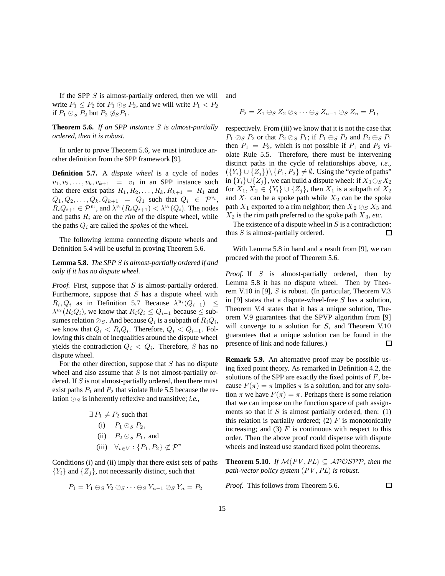If the SPP  $S$  is almost-partially ordered, then we will write  $P_1 \leq P_2$  for  $P_1 \odot_S P_2$ , and we will write  $P_1 < P_2$ if  $P_1 \odot_S P_2$  but  $P_2 \oslash_S P_1$ .

**Theorem 5.6.** *If an SPP instance* S *is almost-partially ordered, then it is robust.*

In order to prove Theorem 5.6, we must introduce another definition from the SPP framework [9].

**Definition 5.7.** A *dispute wheel* is a cycle of nodes  $v_1, v_2, \ldots, v_k, v_{k+1} = v_1$  in an SPP instance such that there exist paths  $R_1, R_2, \ldots, R_k, R_{k+1} = R_1$  and  $Q_1, Q_2, \ldots, Q_k, Q_{k+1} = Q_1$  such that  $Q_i \in \mathcal{P}^{v_i}$ ,  $R_iQ_{i+1} \in \mathcal{P}^{v_i}$ , and  $\lambda^{v_i}(R_iQ_{i+1}) < \lambda^{v_i}(Q_i)$ . The nodes and paths  $R_i$  are on the *rim* of the dispute wheel, while the paths  $Q_i$  are called the *spokes* of the wheel.

The following lemma connecting dispute wheels and Definition 5.4 will be useful in proving Theorem 5.6.

**Lemma 5.8.** *The SPP* S *is almost-partially ordered if and only if it has no dispute wheel.*

*Proof.* First, suppose that S is almost-partially ordered. Furthermore, suppose that  $S$  has a dispute wheel with  $R_i, Q_i$  as in Definition 5.7 Because  $\lambda^{u_i}(Q_{i-1}) \leq$  $\lambda^{u_i}(R_iQ_i)$ , we know that  $R_iQ_i \leq Q_{i-1}$  because  $\leq$  subsumes relation  $\oslash$  s. And because  $Q_i$  is a subpath of  $R_iQ_i$ , we know that  $Q_i < R_i Q_i$ . Therefore,  $Q_i < Q_{i-1}$ . Following this chain of inequalities around the dispute wheel yields the contradiction  $Q_i < Q_i$ . Therefore, S has no dispute wheel.

For the other direction, suppose that  $S$  has no dispute wheel and also assume that  $S$  is not almost-partially ordered. If  $S$  is not almost-partially ordered, then there must exist paths  $P_1$  and  $P_2$  that violate Rule 5.5 because the relation  $\odot$ <sub>S</sub> is inherently reflexive and transitive; *i.e.*,

$$
\exists P_1 \neq P_2 \text{ such that}
$$
\n(i)  $P_1 \odot_S P_2$ ,\n(ii)  $P_2 \odot_S P_1$ , and\n(iii)  $\forall v \in V : \{P_1, P_2\} \nsubseteq \mathcal{P}^v$ 

Conditions (i) and (ii) imply that there exist sets of paths  ${Y_i}$  and  ${Z_i}$ , not necessarily distinct, such that

$$
P_1 = Y_1 \ominus_S Y_2 \oslash_S \cdots \ominus_S Y_{n-1} \oslash_S Y_n = P_2
$$

and

$$
P_2 = Z_1 \ominus_S Z_2 \oslash_S \cdots \ominus_S Z_{n-1} \oslash_S Z_n = P_1,
$$

respectively. From (iii) we know that it is not the case that  $P_1 \oslash_S P_2$  or that  $P_2 \oslash_S P_1$ ; if  $P_1 \ominus_S P_2$  and  $P_2 \ominus_S P_1$ then  $P_1 = P_2$ , which is not possible if  $P_1$  and  $P_2$  violate Rule 5.5. Therefore, there must be intervening distinct paths in the cycle of relationships above, *i.e.*,  $({Y_i} \cup {Z_i})\backslash {P_1, P_2} \neq \emptyset$ . Using the "cycle of paths" in  ${Y_i\}\cup{Z_j}$ , we can build a dispute wheel: if  $X_1\ominus_{S}X_2$ for  $X_1, X_2 \in \{Y_i\} \cup \{Z_j\}$ , then  $X_1$  is a subpath of  $X_2$ and  $X_1$  can be a spoke path while  $X_2$  can be the spoke path  $X_1$  exported to a rim neighbor; then  $X_2 \otimes_S X_3$  and  $X_2$  is the rim path preferred to the spoke path  $X_3$ , *etc*.

The existence of a dispute wheel in  $S$  is a contradiction; thus  $S$  is almost-partially ordered.  $\Box$ 

With Lemma 5.8 in hand and a result from [9], we can proceed with the proof of Theorem 5.6.

*Proof.* If S is almost-partially ordered, then by Lemma 5.8 it has no dispute wheel. Then by Theorem V.10 in [9], S is robust. (In particular, Theorem V.3 in [9] states that a dispute-wheel-free  $S$  has a solution, Theorem V.4 states that it has a unique solution, Theorem V.9 guarantees that the SPVP algorithm from [9] will converge to a solution for S, and Theorem V.10 guarantees that a unique solution can be found in the presence of link and node failures.)  $\Box$ 

**Remark 5.9.** An alternative proof may be possible using fixed point theory. As remarked in Definition 4.2, the solutions of the SPP are exactly the fixed points of  $F$ , because  $F(\pi) = \pi$  implies  $\pi$  is a solution, and for any solution  $\pi$  we have  $F(\pi) = \pi$ . Perhaps there is some relation that we can impose on the function space of path assignments so that if  $S$  is almost partially ordered, then: (1) this relation is partially ordered; (2)  $F$  is monotonically increasing; and (3)  $F$  is continuous with respect to this order. Then the above proof could dispense with dispute wheels and instead use standard fixed point theorems.

**Theorem 5.10.** *If*  $M(PV, PL) \subseteq APOSPP$ , then the *path-vector policy system* (*PV* ,*PL*) *is robust.*

 $\Box$ 

*Proof.* This follows from Theorem 5.6.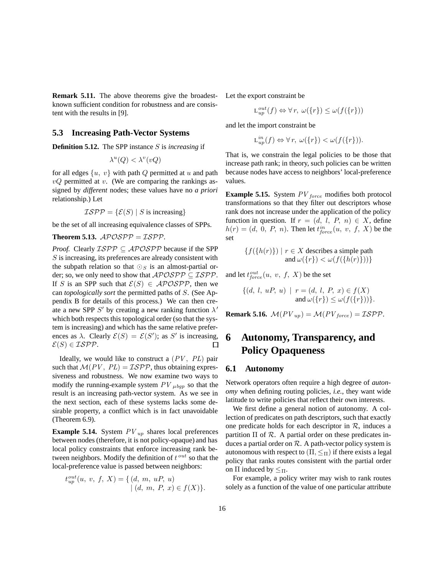**Remark 5.11.** The above theorems give the broadestknown sufficient condition for robustness and are consistent with the results in [9].

### **5.3 Increasing Path-Vector Systems**

**Definition 5.12.** The SPP instance S is *increasing* if

$$
\lambda^u(Q) < \lambda^v(vQ)
$$

for all edges  $\{u, v\}$  with path Q permitted at u and path  $vQ$  permitted at  $v$ . (We are comparing the rankings assigned by *different* nodes; these values have no *a priori* relationship.) Let

$$
\mathcal{ISPP} = \{ \mathcal{E}(S) \mid S \text{ is increasing} \}
$$

be the set of all increasing equivalence classes of SPPs.

**Theorem 5.13.**  $APOSPP = ISPP$ .

*Proof.* Clearly  $ISPP \subseteq APOSPP$  because if the SPP S is increasing, its preferences are already consistent with the subpath relation so that  $\bigcirc_S$  is an almost-partial order; so, we only need to show that  $\mathcal{APOSPP} \subseteq \mathcal{ISPP}$ . If S is an SPP such that  $\mathcal{E}(S) \in \mathcal{APOSPP}$ , then we can *topologically sort* the permitted paths of S. (See Appendix B for details of this process.) We can then create a new SPP  $S'$  by creating a new ranking function  $\lambda'$ which both respects this topological order (so that the system is increasing) and which has the same relative preferences as  $\lambda$ . Clearly  $\mathcal{E}(S) = \mathcal{E}(S')$ ; as S' is increasing,  $\mathcal{E}(S) \in \mathcal{ISPP}$ .  $\Box$ 

Ideally, we would like to construct a (*PV* , *PL*) pair such that  $\mathcal{M}(PV, PL) = \mathcal{ISPP}$ , thus obtaining expressiveness and robustness. We now examine two ways to modify the running-example system  $PV_{\mu bgp}$  so that the result is an increasing path-vector system. As we see in the next section, each of these systems lacks some desirable property, a conflict which is in fact unavoidable (Theorem 6.9).

**Example 5.14.** System *PV up* shares local preferences between nodes (therefore, it is not policy-opaque) and has local policy constraints that enforce increasing rank between neighbors. Modify the definition of t*out* so that the local-preference value is passed between neighbors:

$$
t_{up}^{out}(u, v, f, X) = \{ (d, m, uP, u) | (d, m, P, x) \in f(X) \}.
$$

Let the export constraint be

$$
\mathcal{L}_{up}^{out}(f) \Leftrightarrow \forall r, \ \omega(\{r\}) \le \omega(f(\{r\}))
$$

and let the import constraint be

 $L_{up}^{in}(f) \Leftrightarrow \forall r, \ \omega(\lbrace r \rbrace) < \omega(f(\lbrace r \rbrace)).$ 

That is, we constrain the legal policies to be those that increase path rank; in theory, such policies can be written because nodes have access to neighbors' local-preference values.

**Example 5.15.** System *PV force* modifies both protocol transformations so that they filter out descriptors whose rank does not increase under the application of the policy function in question. If  $r = (d, l, P, n) \in X$ , define  $h(r) = (d, 0, P, n)$ . Then let  $t_{force}^{in}(u, v, f, X)$  be the set

$$
\{f(\lbrace h(r)\rbrace) \mid r \in X \text{ describes a simple path}
$$
  
and  $\omega(\lbrace r \rbrace) < \omega(f(\lbrace h(r)\rbrace))\}$ 

and let  $t_{force}^{out}(u, v, f, X)$  be the set

$$
\{(d, l, uP, u) \mid r = (d, l, P, x) \in f(X) \nand \omega(\{r\}) \le \omega(f(\{r\}))\}.
$$

**Remark 5.16.**  $\mathcal{M}(PV_{up}) = \mathcal{M}(PV_{force}) = \mathcal{ISPP}$ .

## **6 Autonomy, Transparency, and Policy Opaqueness**

#### **6.1 Autonomy**

Network operators often require a high degree of *autonomy* when defining routing policies, *i.e.*, they want wide latitude to write policies that reflect their own interests.

We first define a general notion of autonomy. A collection of predicates on path descriptors, such that exactly one predicate holds for each descriptor in  $R$ , induces a partition  $\Pi$  of  $\mathcal R$ . A partial order on these predicates induces a partial order on  $R$ . A path-vector policy system is autonomous with respect to  $(\Pi, \leq_{\Pi})$  if there exists a legal policy that ranks routes consistent with the partial order on Π induced by  $\leq_{\Pi}$ .

For example, a policy writer may wish to rank routes solely as a function of the value of one particular attribute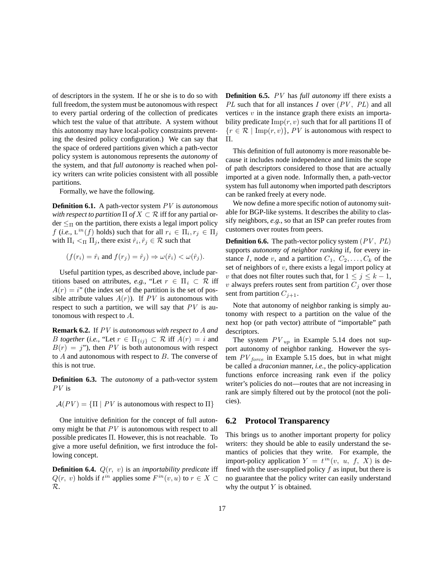of descriptors in the system. If he or she is to do so with full freedom, the system must be autonomous with respect to every partial ordering of the collection of predicates which test the value of that attribute. A system without this autonomy may have local-policy constraints preventing the desired policy configuration.) We can say that the space of ordered partitions given which a path-vector policy system is autonomous represents the *autonomy* of the system, and that *full autonomy* is reached when policy writers can write policies consistent with all possible partitions.

Formally, we have the following.

**Definition 6.1.** A path-vector system *PV* is *autonomous with respect to partition*  $\Pi$  *of*  $X \subset \mathcal{R}$  iff for any partial or- $\text{der} \leq_{\Pi}$  on the partition, there exists a legal import policy f (*i.e.*,  $L^{in}(f)$  holds) such that for all  $r_i \in \Pi_i, r_j \in \Pi_j$ with  $\Pi_i <_{\Pi} \Pi_j$ , there exist  $\hat{r}_i, \hat{r}_j \in \mathcal{R}$  such that

$$
(f(r_i) = \hat{r}_i \text{ and } f(r_j) = \hat{r}_j) \Rightarrow \omega(\hat{r}_i) < \omega(\hat{r}_j).
$$

Useful partition types, as described above, include partitions based on attributes, *e.g.*, "Let  $r \in \Pi_i \subset \mathcal{R}$  iff  $A(r) = i$ " (the index set of the partition is the set of possible attribute values  $A(r)$ ). If *PV* is autonomous with respect to such a partition, we will say that *PV* is autonomous with respect to A.

**Remark 6.2.** If *PV* is *autonomous with respect to* A *and B together* (*i.e.*, "Let  $r \in \Pi_{\{ij\}} \subset \mathcal{R}$  iff  $A(r) = i$  and  $B(r) = j$ "), then *PV* is both autonomous with respect to  $A$  and autonomous with respect to  $B$ . The converse of this is not true.

**Definition 6.3.** The *autonomy* of a path-vector system *PV* is

$$
\mathcal{A}(PV) = \{ \Pi \mid PV \text{ is autonomous with respect to } \Pi \}
$$

One intuitive definition for the concept of full autonomy might be that *PV* is autonomous with respect to all possible predicates Π. However, this is not reachable. To give a more useful definition, we first introduce the following concept.

**Definition 6.4.**  $Q(r, v)$  is an *importability predicate* iff  $Q(r, v)$  holds if  $t^{in}$  applies some  $F^{in}(v, u)$  to  $r \in X \subset$ R.

**Definition 6.5.** *PV* has *full autonomy* iff there exists a *PL* such that for all instances I over (*PV* , *PL*) and all vertices  $v$  in the instance graph there exists an importability predicate  $\text{Imp}(r, v)$  such that for all partitions  $\Pi$  of  ${r \in \mathcal{R} \mid \text{Imp}(r, v)}$ , *PV* is autonomous with respect to Π.

This definition of full autonomy is more reasonable because it includes node independence and limits the scope of path descriptors considered to those that are actually imported at a given node. Informally then, a path-vector system has full autonomy when imported path descriptors can be ranked freely at every node.

We now define a more specific notion of autonomy suitable for BGP-like systems. It describes the ability to classify neighbors, *e.g.*, so that an ISP can prefer routes from customers over routes from peers.

**Definition 6.6.** The path-vector policy system (*PV* , *PL*) supports *autonomy of neighbor ranking* if, for every instance I, node v, and a partition  $C_1, C_2, \ldots, C_k$  of the set of neighbors of  $v$ , there exists a legal import policy at v that does not filter routes such that, for  $1 \leq j \leq k-1$ ,  $v$  always prefers routes sent from partition  $C_j$  over those sent from partition  $C_{j+1}$ .

Note that autonomy of neighbor ranking is simply autonomy with respect to a partition on the value of the next hop (or path vector) attribute of "importable" path descriptors.

The system  $PV_{up}$  in Example 5.14 does not support autonomy of neighbor ranking. However the system *PV force* in Example 5.15 does, but in what might be called a *draconian* manner, *i.e.*, the policy-application functions enforce increasing rank even if the policy writer's policies do not—routes that are not increasing in rank are simply filtered out by the protocol (not the policies).

### **6.2 Protocol Transparency**

This brings us to another important property for policy writers: they should be able to easily understand the semantics of policies that they write. For example, the import-policy application  $Y = t^{in}(v, u, f, X)$  is defined with the user-supplied policy  $f$  as input, but there is no guarantee that the policy writer can easily understand why the output  $Y$  is obtained.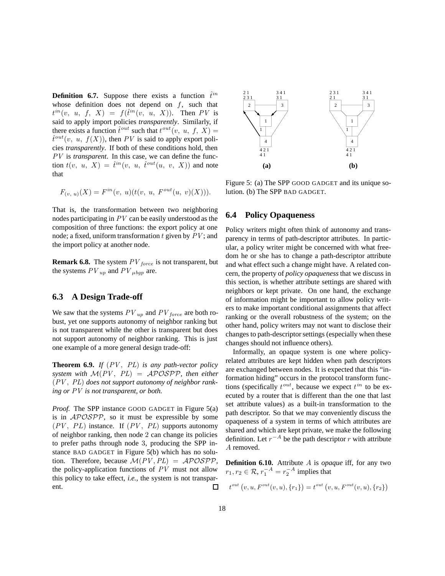**Definition 6.7.** Suppose there exists a function  $\hat{t}^{in}$ whose definition does not depend on  $f$ , such that  $t^{in}(v, u, f, X) = f(\hat{t}^{in}(v, u, X)).$  Then PV is said to apply import policies *transparently*. Similarly, if there exists a function  $\hat{t}^{out}$  such that  $t^{out}(v, u, f, X) =$  $\hat{t}^{out}(v, u, f(X))$ , then *PV* is said to apply export policies *transparently*. If both of these conditions hold, then *PV* is *transparent*. In this case, we can define the function  $t(v, u, X) = \hat{t}^{in}(v, u, \hat{t}^{out}(u, v, X))$  and note that

$$
F_{(v, u)}(X) = F^{in}(v, u)(t(v, u, F^{out}(u, v)(X))).
$$

That is, the transformation between two neighboring nodes participating in *PV* can be easily understood as the composition of three functions: the export policy at one node; a fixed, uniform transformation t given by *PV* ; and the import policy at another node.

**Remark 6.8.** The system *PV force* is not transparent, but the systems  $PV_{up}$  and  $PV_{\mu bqp}$  are.

### **6.3 A Design Trade-off**

We saw that the systems  $PV_{up}$  and  $PV_{force}$  are both robust, yet one supports autonomy of neighbor ranking but is not transparent while the other is transparent but does not support autonomy of neighbor ranking. This is just one example of a more general design trade-off:

**Theorem 6.9.** *If* (*PV* , *PL*) *is any path-vector policy system with*  $M(PV, PL) = APOSPP$ , then either (*PV* , *PL*) *does not support autonomy of neighbor ranking or PV is not transparent, or both.*

*Proof.* The SPP instance GOOD GADGET in Figure 5(a) is in APOSPP, so it must be expressible by some (*PV* , PL) instance. If (*PV* , *PL*) supports autonomy of neighbor ranking, then node 2 can change its policies to prefer paths through node 3, producing the SPP instance BAD GADGET in Figure 5(b) which has no solution. Therefore, because  $\mathcal{M}(PV, PL) = \mathcal{APOSPP}$ , the policy-application functions of *PV* must not allow this policy to take effect, *i.e.*, the system is not transparent.  $\Box$ 



Figure 5: (a) The SPP GOOD GADGET and its unique solution. (b) The SPP BAD GADGET.

### **6.4 Policy Opaqueness**

Policy writers might often think of autonomy and transparency in terms of path-descriptor attributes. In particular, a policy writer might be concerned with what freedom he or she has to change a path-descriptor attribute and what effect such a change might have. A related concern, the property of *policy opaqueness* that we discuss in this section, is whether attribute settings are shared with neighbors or kept private. On one hand, the exchange of information might be important to allow policy writers to make important conditional assignments that affect ranking or the overall robustness of the system; on the other hand, policy writers may not want to disclose their changes to path-descriptor settings (especially when these changes should not influence others).

Informally, an opaque system is one where policyrelated attributes are kept hidden when path descriptors are exchanged between nodes. It is expected that this "information hiding" occurs in the protocol transform functions (specifically  $t^{out}$ , because we expect  $t^{in}$  to be executed by a router that is different than the one that last set attribute values) as a built-in transformation to the path descriptor. So that we may conveniently discuss the opaqueness of a system in terms of which attributes are shared and which are kept private, we make the following definition. Let  $r^{-A}$  be the path descriptor r with attribute A removed.

**Definition 6.10.** Attribute A is *opaque* iff, for any two  $r_1, r_2 \in \mathcal{R}, r_1^{-A} = r_2^{-A}$  implies that

$$
t^{out}(v, u, F^{out}(v, u), \{r_1\}) = t^{out}(v, u, F^{out}(v, u), \{r_2\})
$$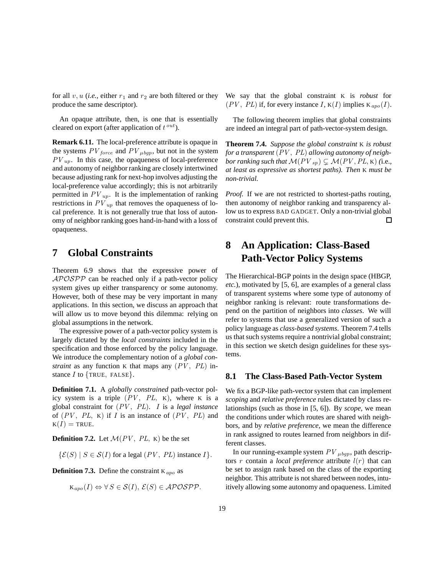for all  $v, u$  (*i.e.*, either  $r_1$  and  $r_2$  are both filtered or they produce the same descriptor).

An opaque attribute, then, is one that is essentially cleared on export (after application of t*out*).

**Remark 6.11.** The local-preference attribute is opaque in the systems  $PV_{force}$  and  $PV_{\mu bgp}$ , but not in the system *PV up*. In this case, the opaqueness of local-preference and autonomy of neighbor ranking are closely intertwined because adjusting rank for next-hop involves adjusting the local-preference value accordingly; this is not arbitrarily permitted in  $PV_{up}$ . It is the implementation of ranking restrictions in  $PV_{up}$  that removes the opaqueness of local preference. It is not generally true that loss of autonomy of neighbor ranking goes hand-in-hand with a loss of opaqueness.

## **7 Global Constraints**

Theorem 6.9 shows that the expressive power of  $APOSPP$  can be reached only if a path-vector policy system gives up either transparency or some autonomy. However, both of these may be very important in many applications. In this section, we discuss an approach that will allow us to move beyond this dilemma: relying on global assumptions in the network.

The expressive power of a path-vector policy system is largely dictated by the *local constraints* included in the specification and those enforced by the policy language. We introduce the complementary notion of a *global constraint* as any function K that maps any (*PV* , *PL*) instance  $I$  to  $\{TRUE, FALSE\}.$ 

**Definition 7.1.** A *globally constrained* path-vector policy system is a triple  $(PV, PL, K)$ , where K is a global constraint for (*PV* , *PL*). I is a *legal instance* of  $(PV, PL, K)$  if I is an instance of  $(PV, PL)$  and  $K(I)$  = TRUE.

**Definition 7.2.** Let  $\mathcal{M}(PV, PL, K)$  be the set

 $\{\mathcal{E}(S) \mid S \in \mathcal{S}(I) \text{ for a legal } (PV, PL) \text{ instance } I\}.$ 

**Definition 7.3.** Define the constraint <sup>K</sup>*apo* as

$$
\mathbf{K}_{apo}(I) \Leftrightarrow \forall S \in \mathcal{S}(I), \, \mathcal{E}(S) \in \mathcal{APOSPP}.
$$

We say that the global constraint K is *robust* for  $(PV, PL)$  if, for every instance I,  $K(I)$  implies  $K_{apo}(I)$ .

The following theorem implies that global constraints are indeed an integral part of path-vector-system design.

**Theorem 7.4.** *Suppose the global constraint* K *is robust for a transparent* (*PV* , *PL*) *allowing autonomy of neighbor ranking such that*  $\mathcal{M}(PV_{sp}) \subsetneq \mathcal{M}(PV, PL, K)$  (i.e., *at least as expressive as shortest paths). Then* K *must be non-trivial.*

*Proof.* If we are not restricted to shortest-paths routing, then autonomy of neighbor ranking and transparency allow us to express BAD GADGET. Only a non-trivial global constraint could prevent this.  $\Box$ 

## **8 An Application: Class-Based Path-Vector Policy Systems**

The Hierarchical-BGP points in the design space (HBGP, *etc.*), motivated by [5, 6], are examples of a general class of transparent systems where some type of autonomy of neighbor ranking is relevant: route transformations depend on the partition of neighbors into *classes*. We will refer to systems that use a generalized version of such a policy language as *class-based systems*. Theorem 7.4 tells us that such systems require a nontrivial global constraint; in this section we sketch design guidelines for these systems.

### **8.1 The Class-Based Path-Vector System**

We fix a BGP-like path-vector system that can implement *scoping* and *relative preference* rules dictated by class relationships (such as those in [5, 6]). By *scope*, we mean the conditions under which routes are shared with neighbors, and by *relative preference*, we mean the difference in rank assigned to routes learned from neighbors in different classes.

In our running-example system  $PV_{\mu bqp}$ , path descriptors r contain a *local preference* attribute  $l(r)$  that can be set to assign rank based on the class of the exporting neighbor. This attribute is not shared between nodes, intuitively allowing some autonomy and opaqueness. Limited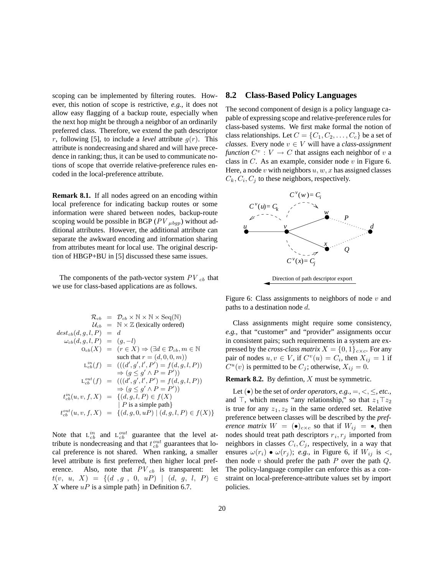scoping can be implemented by filtering routes. However, this notion of scope is restrictive, *e.g.*, it does not allow easy flagging of a backup route, especially when the next hop might be through a neighbor of an ordinarily preferred class. Therefore, we extend the path descriptor r, following [5], to include a *level* attribute  $g(r)$ . This attribute is nondecreasing and shared and will have precedence in ranking; thus, it can be used to communicate notions of scope that override relative-preference rules encoded in the local-preference attribute.

**Remark 8.1.** If all nodes agreed on an encoding within local preference for indicating backup routes or some information were shared between nodes, backup-route scoping would be possible in BGP ( $PV$ <sub> $\mu$ bqp</sub>) without additional attributes. However, the additional attribute can separate the awkward encoding and information sharing from attributes meant for local use. The original description of HBGP+BU in [5] discussed these same issues.

The components of the path-vector system  $PV_{cb}$  that we use for class-based applications are as follows.

$$
\mathcal{R}_{cb} = \mathcal{D}_{cb} \times \mathbb{N} \times \text{Seq}(\mathbb{N})
$$
\n
$$
\mathcal{U}_{cb} = \mathbb{N} \times \mathbb{Z} \text{ (lexically ordered)}
$$
\n
$$
\text{dest}_{cb}(d, g, l, P) = d
$$
\n
$$
\omega_{cb}(d, g, l, P) = (g, -l)
$$
\n
$$
\mathbf{O}_{cb}(X) = (r \in X) \Rightarrow (\exists d \in \mathcal{D}_{cb}, m \in \mathbb{N})
$$
\n
$$
\text{ such that } r = (d, 0, 0, m)
$$
\n
$$
\mathbf{L}_{cb}^{in}(f) = (((d', g', l', P') = f(d, g, l, P))
$$
\n
$$
\Rightarrow (g \le g' \land P = P'))
$$
\n
$$
\mathbf{L}_{cb}^{out}(f) = (((d', g', l', P') = f(d, g, l, P))
$$
\n
$$
\Rightarrow (g \le g' \land P = P'))
$$
\n
$$
\mathbf{t}_{cb}^{in}(u, v, f, X) = \{(d, g, l, P) \in f(X) \mid P \text{ is a simple path}\}
$$
\n
$$
\mathbf{t}_{cb}^{out}(u, v, f, X) = \{(d, g, 0, uP) \mid (d, g, l, P) \in f(X)\}
$$

Note that  $L_{cb}^{in}$  and  $L_{cb}^{out}$  guarantee that the level at-<br>tribute is nondecreasing and that  $t^{out}$  guarantees that lo tribute is nondecreasing and that  $t_{cb}^{out}$  guarantees that lo-<br>cal preference is not shared. When rapking a smaller cal preference is not shared. When ranking, a smaller level attribute is first preferred, then higher local preference. Also, note that  $PV_{cb}$  is transparent: let  $t(v, u, X) = \{ (d, g, 0, uP) | (d, g, l, P) \in$ X where  $uP$  is a simple path in Definition 6.7.

### **8.2 Class-Based Policy Languages**

The second component of design is a policy language capable of expressing scope and relative-preference rules for class-based systems. We first make formal the notion of class relationships. Let  $C = \{C_1, C_2, \ldots, C_c\}$  be a set of *classes*. Every node  $v \in V$  will have a *class-assignment function*  $C^v : V \to C$  that assigns each neighbor of v a class in  $C$ . As an example, consider node  $v$  in Figure 6. Here, a node v with neighbors  $u, w, x$  has assigned classes  $C_k, C_i, C_j$  to these neighbors, respectively.



Figure 6: Class assignments to neighbors of node  $v$  and paths to a destination node d.

Class assignments might require some consistency, *e.g.*, that "customer" and "provider" assignments occur in consistent pairs; such requirements in a system are expressed by the *cross-class matrix*  $X = \{0, 1\}_{c \times c}$ . For any pair of nodes  $u, v \in V$ , if  $C^v(u) = C_i$ , then  $X_{ij} = 1$  if  $C^u(v)$  is permitted to be  $C_j$ ; otherwise,  $X_{ij} = 0$ .

#### **Remark 8.2.** By defintion, X must be symmetric.

Let  $(\bullet)$  be the set of *order operators*, *e.g.*, =, <,  $\le$ , *etc.*, and  $\top$ , which means "any relationship," so that  $z_1 \top z_2$ is true for any  $z_1, z_2$  in the same ordered set. Relative preference between classes will be described by the *preference matrix*  $W = (\bullet)_{c \times c}$  so that if  $W_{ij} = \bullet$ , then nodes should treat path descriptors  $r_i, r_j$  imported from neighbors in classes  $C_i, C_j$ , respectively, in a way that ensures  $\omega(r_i) \bullet \omega(r_j)$ ; *e.g.*, in Figure 6, if  $W_{ij}$  is <, then node  $v$  should prefer the path  $P$  over the path  $Q$ . The policy-language compiler can enforce this as a constraint on local-preference-attribute values set by import policies.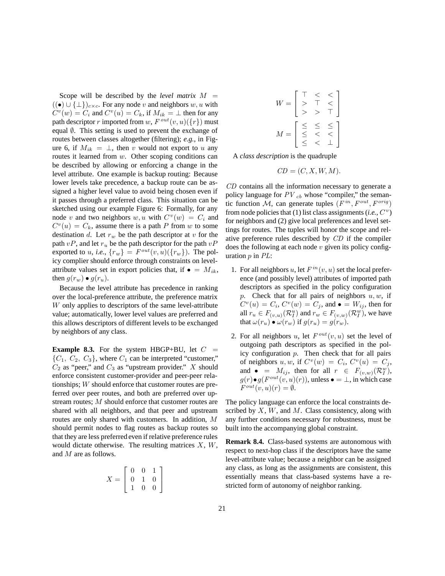Scope will be described by the *level matrix*  $M =$  $((\bullet) \cup {\{\perp\}})_{c \times c}$ . For any node v and neighbors w, u with  $C^v(w) = C_i$  and  $C^v(u) = C_k$ , if  $M_{ik} = \perp$  then for any path descriptor r imported from w,  $F^{out}(v, u)(\{r\})$  must equal  $\emptyset$ . This setting is used to prevent the exchange of routes between classes altogether (filtering); *e.g.*, in Figure 6, if  $M_{ik} = \perp$ , then v would not export to u any routes it learned from  $w$ . Other scoping conditions can be described by allowing or enforcing a change in the level attribute. One example is backup routing: Because lower levels take precedence, a backup route can be assigned a higher level value to avoid being chosen even if it passes through a preferred class. This situation can be sketched using our example Figure 6: Formally, for any node v and two neighbors w, u with  $C^v(w) = C_i$  and  $C<sup>v</sup>(u) = C<sub>k</sub>$ , assume there is a path P from w to some destination d. Let  $r_w$  be the path descriptor at v for the path  $vP$ , and let  $r_u$  be the path descriptor for the path  $vP$ exported to u, i.e.,  $\{r_w\} = F^{out}(v, u)(\{r_w\})$ . The policy complier should enforce through constraints on levelattribute values set in export policies that, if  $\bullet = M_{ik}$ , then  $g(r_w) \bullet g(r_u)$ .

Because the level attribute has precedence in ranking over the local-preference attribute, the preference matrix W only applies to descriptors of the same level-attribute value; automatically, lower level values are preferred and this allows descriptors of different levels to be exchanged by neighbors of any class.

**Example 8.3.** For the system HBGP+BU, let  $C =$  ${C_1, C_2, C_3}$ , where  $C_1$  can be interpreted "customer,"  $C_2$  as "peer," and  $C_3$  as "upstream provider." X should enforce consistent customer-provider and peer-peer relationships; W should enforce that customer routes are preferred over peer routes, and both are preferred over upstream routes; M should enforce that customer routes are shared with all neighbors, and that peer and upstream routes are only shared with customers. In addition, M should permit nodes to flag routes as backup routes so that they are less preferred even if relative preference rules would dictate otherwise. The resulting matrices  $X$ ,  $W$ , and M are as follows.

$$
X = \left[ \begin{array}{rrr} 0 & 0 & 1 \\ 0 & 1 & 0 \\ 1 & 0 & 0 \end{array} \right]
$$

$$
W = \begin{bmatrix} \top < < \\ > & \top < \\ > > & \top \\ > > & \top \end{bmatrix}
$$
\n
$$
M = \begin{bmatrix} \leq & \leq < \\ \leq < < < \\ < < < < \\ \leq < < & \bot \end{bmatrix}
$$

A *class description* is the quadruple

$$
CD = (C, X, W, M).
$$

*CD* contains all the information necessary to generate a policy language for  $PV_{cb}$  whose "compiler," the semantic function M, can generate tuples (*F in*, *Fout*, *Forig* ) from node policies that (1) list class assignments (*i.e.*,  $C^v$ ) for neighbors and (2) give local preferences and level settings for routes. The tuples will honor the scope and relative preference rules described by *CD* if the compiler does the following at each node  $v$  given its policy configuration p in *PL*:

- 1. For all neighbors u, let  $F^{in}(v, u)$  set the local preference (and possibly level) attributes of imported path descriptors as specified in the policy configuration p. Check that for all pairs of neighbors  $u, w$ , if  $C^v(u) = C_i$ ,  $C^v(w) = C_j$ , and  $\bullet = W_{ij}$ , then for all  $r_u \in F_{(v,u)}(\mathcal{R}_I^u)$  and  $r_w \in F_{(v,w)}(\mathcal{R}_I^w)$ , we have that  $\omega(r_u) \bullet \omega(r_w)$  if  $g(r_u) = g(r_w)$ .
- 2. For all neighbors u, let  $F^{out}(v, u)$  set the level of outgoing path descriptors as specified in the policy configuration  $p$ . Then check that for all pairs of neighbors u, w, if  $C^v(w) = C_i$ ,  $C^v(u) = C_j$ , and  $\bullet$  =  $M_{ij}$ , then for all  $r \in F_{(v,w)}(\mathcal{R}_I^w)$ ,  $g(r) \bullet g(F^{out}(v, u)(r))$ , unless  $\bullet = \bot$ , in which case  $F^{out}(v, u)(r) = \emptyset.$

The policy language can enforce the local constraints described by  $X$ ,  $W$ , and  $M$ . Class consistency, along with any further conditions necessary for robustness, must be built into the accompanying global constraint.

**Remark 8.4.** Class-based systems are autonomous with respect to next-hop class if the descriptors have the same level-attribute value; because a neighbor can be assigned any class, as long as the assignments are consistent, this essentially means that class-based systems have a restricted form of autonomy of neighbor ranking.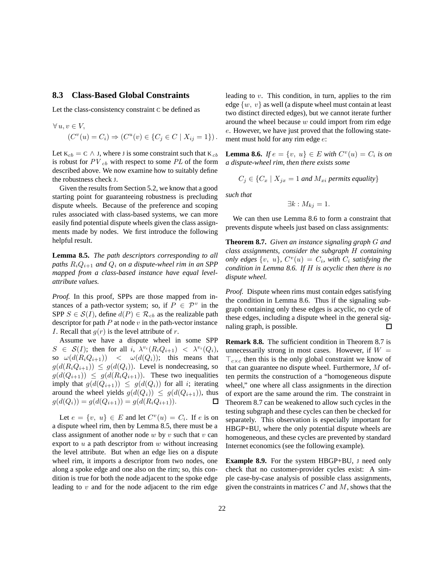### **8.3 Class-Based Global Constraints**

Let the class-consistency constraint C be defined as

$$
\forall u, v \in V,
$$
  

$$
(C^v(u) = C_i) \Rightarrow (C^u(v) \in \{C_j \in C \mid X_{ij} = 1\}).
$$

Let  $K_{cb} = C \wedge J$ , where J is some constraint such that  $K_{cb}$ is robust for  $PV_{cb}$  with respect to some  $PL$  of the form described above. We now examine how to suitably define the robustness check J.

Given the results from Section 5.2, we know that a good starting point for guaranteeing robustness is precluding dispute wheels. Because of the preference and scoping rules associated with class-based systems, we can more easily find potential dispute wheels given the class assignments made by nodes. We first introduce the following helpful result.

**Lemma 8.5.** *The path descriptors corresponding to all paths*  $R_iQ_{i+1}$  *and*  $Q_i$  *on a dispute-wheel rim in an SPP mapped from a class-based instance have equal levelattribute values.*

*Proof.* In this proof, SPPs are those mapped from instances of a path-vector system; so, if  $P \in \mathcal{P}^v$  in the SPP  $S \in \mathcal{S}(I)$ , define  $d(P) \in \mathcal{R}_{cb}$  as the realizable path descriptor for path  $P$  at node  $v$  in the path-vector instance *I*. Recall that  $g(r)$  is the level attribute of r.

Assume we have a dispute wheel in some SPP  $S \in \mathcal{S}(I)$ ; then for all i,  $\lambda^{v_i}(R_i Q_{i+1}) < \lambda^{v_i}(Q_i)$ , so  $\omega(d(R_iQ_{i+1}))$  <  $\omega(d(Q_i))$ ; this means that  $g(d(R_iQ_{i+1})) \leq g(d(Q_i))$ . Level is nondecreasing, so  $g(d(Q_{i+1})) \leq g(d(R_iQ_{i+1}))$ . These two inequalities imply that  $g(d(Q_{i+1})) \leq g(d(Q_i))$  for all *i*; iterating around the wheel yields  $g(d(Q_i)) \leq g(d(Q_{i+1}))$ , thus  $g(d(Q_i)) = g(d(Q_{i+1})) = g(d(R_iQ_{i+1})).$ □

Let  $e = \{v, u\} \in E$  and let  $C^v(u) = C_i$ . If e is on a dispute wheel rim, then by Lemma 8.5, there must be a class assignment of another node  $w$  by  $v$  such that  $v$  can export to  $u$  a path descriptor from  $w$  without increasing the level attribute. But when an edge lies on a dispute wheel rim, it imports a descriptor from two nodes, one along a spoke edge and one also on the rim; so, this condition is true for both the node adjacent to the spoke edge leading to  $v$  and for the node adjacent to the rim edge

leading to  $v$ . This condition, in turn, applies to the rim edge  $\{w, v\}$  as well (a dispute wheel must contain at least two distinct directed edges), but we cannot iterate further around the wheel because w could import from rim edge e. However, we have just proved that the following statement must hold for any rim edge e:

**Lemma 8.6.** *If*  $e = \{v, u\} \in E$  *with*  $C^{v}(u) = C_i$  *is on a dispute-wheel rim, then there exists some*

$$
C_j \in \{C_x \mid X_{jx} = 1 \text{ and } M_{xi} \text{ permits equality}\}
$$

*such that*

$$
\exists k : M_{kj} = 1.
$$

We can then use Lemma 8.6 to form a constraint that prevents dispute wheels just based on class assignments:

**Theorem 8.7.** *Given an instance signaling graph* G *and class assignments, consider the subgraph* H *containing only edges*  $\{v, u\}$ *,*  $C^v(u) = C_i$ *, with*  $C_i$  *satisfying the condition in Lemma 8.6. If* H *is acyclic then there is no dispute wheel.*

*Proof.* Dispute wheen rims must contain edges satisfying the condition in Lemma 8.6. Thus if the signaling subgraph containing only these edges is acyclic, no cycle of these edges, including a dispute wheel in the general signaling graph, is possible.  $\Box$ 

**Remark 8.8.** The sufficient condition in Theorem 8.7 is unnecessarily strong in most cases. However, if  $W =$  $T_{c \times c}$  then this is the only global constraint we know of that can guarantee no dispute wheel. Furthermore, M often permits the construction of a "homogeneous dispute wheel," one where all class assignments in the direction of export are the same around the rim. The constraint in Theorem 8.7 can be weakened to allow such cycles in the testing subgraph and these cycles can then be checked for separately. This observation is especially important for HBGP+BU, where the only potential dispute wheels are homogeneous, and these cycles are prevented by standard Internet economics (see the following example).

**Example 8.9.** For the system HBGP+BU, J need only check that no customer-provider cycles exist: A simple case-by-case analysis of possible class assignments, given the constraints in matrices  $C$  and  $M$ , shows that the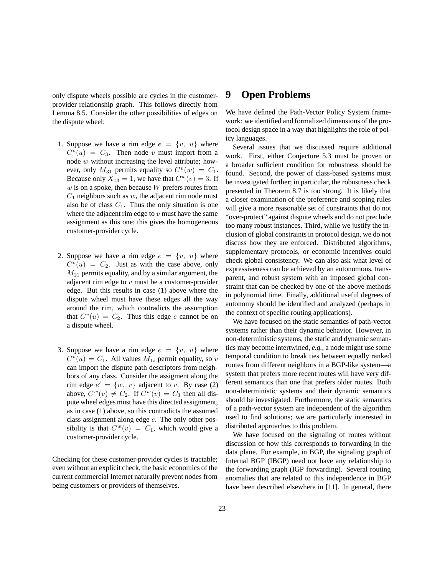only dispute wheels possible are cycles in the customerprovider relationship graph. This follows directly from Lemma 8.5. Consider the other possibilities of edges on the dispute wheel:

- 1. Suppose we have a rim edge  $e = \{v, u\}$  where  $C<sup>v</sup>(u) = C<sub>3</sub>$ . Then node v must import from a node w without increasing the level attribute; however, only  $M_{31}$  permits equality so  $C^v(w) = C_1$ . Because only  $X_{13} = 1$ , we have that  $C^w(v) = 3$ . If  $w$  is on a spoke, then because  $W$  prefers routes from  $C_1$  neighbors such as  $w$ , the adjacent rim node must also be of class  $C_1$ . Thus the only situation is one where the adjacent rim edge to  $v$  must have the same assignment as this one; this gives the homogeneous customer-provider cycle.
- 2. Suppose we have a rim edge  $e = \{v, u\}$  where  $C<sup>v</sup>(u) = C<sub>2</sub>$ . Just as with the case above, only  $M_{21}$  permits equality, and by a similar argument, the adjacent rim edge to  $v$  must be a customer-provider edge. But this results in case (1) above where the dispute wheel must have these edges all the way around the rim, which contradicts the assumption that  $C<sup>v</sup>(u) = C<sub>2</sub>$ . Thus this edge e cannot be on a dispute wheel.
- 3. Suppose we have a rim edge  $e = \{v, u\}$  where  $C<sup>v</sup>(u) = C<sub>1</sub>$ . All values  $M<sub>1i</sub>$  permit equality, so v can import the dispute path descriptors from neighbors of any class. Consider the assigment along the rim edge  $e' = \{w, v\}$  adjacent to v. By case (2) above,  $C^w(v) \neq C_2$ . If  $C^w(v) = C_3$  then all dispute wheel edges must have this directed assignment, as in case (1) above, so this contradicts the assumed class assignment along edge e. The only other possibility is that  $C^w(v) = C_1$ , which would give a customer-provider cycle.

Checking for these customer-provider cycles is tractable; even without an explicit check, the basic economics of the current commercial Internet naturally prevent nodes from being customers or providers of themselves.

### **9 Open Problems**

We have defined the Path-Vector Policy System framework: we identified and formalized dimensions of the protocol design space in a way that highlights the role of policy languages.

Several issues that we discussed require additional work. First, either Conjecture 5.3 must be proven or a broader sufficient condition for robustness should be found. Second, the power of class-based systems must be investigated further; in particular, the robustness check presented in Theorem 8.7 is too strong. It is likely that a closer examination of the preference and scoping rules will give a more reasonable set of constraints that do not "over-protect" against dispute wheels and do not preclude too many robust instances. Third, while we justify the inclusion of global constraints in protocol design, we do not discuss how they are enforced. Distributed algorithms, supplementary protocols, or economic incentives could check global consistency. We can also ask what level of expressiveness can be achieved by an autonomous, transparent, and robust system with an imposed global constraint that can be checked by one of the above methods in polynomial time. Finally, additional useful degrees of autonomy should be identified and analyzed (perhaps in the context of specific routing applications).

We have focused on the static semantics of path-vector systems rather than their dynamic behavior. However, in non-deterministic systems, the static and dynamic semantics may become intertwined, *e.g.*, a node might use some temporal condition to break ties between equally ranked routes from different neighbors in a BGP-like system—a system that prefers more recent routes will have very different semantics than one that prefers older routes. Both non-deterministic systems and their dynamic semantics should be investigated. Furthermore, the static semantics of a path-vector system are independent of the algorithm used to find solutions; we are particularly interested in distributed approaches to this problem.

We have focused on the signaling of routes without discussion of how this corresponds to forwarding in the data plane. For example, in BGP, the signaling graph of Internal BGP (IBGP) need not have any relationship to the forwarding graph (IGP forwarding). Several routing anomalies that are related to this independence in BGP have been described elsewhere in [11]. In general, there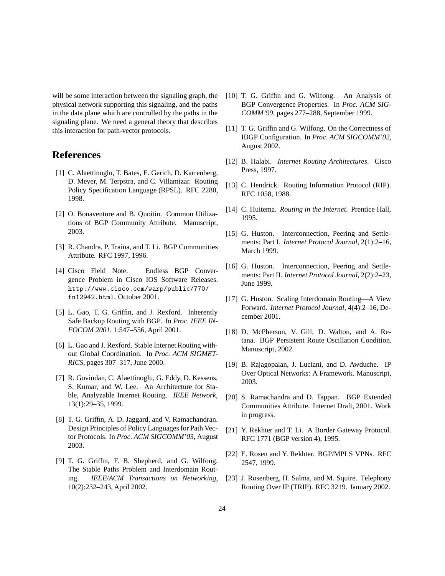will be some interaction between the signaling graph, the physical network supporting this signaling, and the paths in the data plane which are controlled by the paths in the signaling plane. We need a general theory that describes this interaction for path-vector protocols.

## **References**

- [1] C. Alaettinoglu, T. Bates, E. Gerich, D. Karrenberg, D. Meyer, M. Terpstra, and C. Villamizar. Routing Policy Specification Language (RPSL). RFC 2280, 1998.
- [2] O. Bonaventure and B. Quoitin. Common Utilizations of BGP Community Attribute. Manuscript, 2003.
- [3] R. Chandra, P. Traina, and T. Li. BGP Communities Attribute. RFC 1997, 1996.
- [4] Cisco Field Note. Endless BGP Convergence Problem in Cisco IOS Software Releases. http://www.cisco.com/warp/public/770/ fn12942.html, October 2001.
- [5] L. Gao, T. G. Griffin, and J. Rexford. Inherently Safe Backup Routing with BGP. In *Proc. IEEE IN-FOCOM 2001*, 1:547–556, April 2001.
- [6] L. Gao and J. Rexford. Stable Internet Routing without Global Coordination. In *Proc. ACM SIGMET-RICS*, pages 307–317, June 2000.
- [7] R. Govindan, C. Alaettinoglu, G. Eddy, D. Kessens, S. Kumar, and W. Lee. An Architecture for Stable, Analyzable Internet Routing. *IEEE Network*, 13(1):29–35, 1999.
- [8] T. G. Griffin, A. D. Jaggard, and V. Ramachandran. Design Principles of Policy Languages for Path Vector Protocols. In *Proc. ACM SIGCOMM'03*, August 2003.
- [9] T. G. Griffin, F. B. Shepherd, and G. Wilfong. The Stable Paths Problem and Interdomain Routing. *IEEE/ACM Transactions on Networking*, 10(2):232–243, April 2002.
- [10] T. G. Griffin and G. Wilfong. An Analysis of BGP Convergence Properties. In *Proc. ACM SIG-COMM'99*, pages 277–288, September 1999.
- [11] T. G. Griffin and G. Wilfong. On the Correctness of IBGP Configuration. In *Proc. ACM SIGCOMM'02*, August 2002.
- [12] B. Halabi. *Internet Routing Architectures*. Cisco Press, 1997.
- [13] C. Hendrick. Routing Information Protocol (RIP). RFC 1058, 1988.
- [14] C. Huitema. *Routing in the Internet*. Prentice Hall, 1995.
- [15] G. Huston. Interconnection, Peering and Settlements: Part I. *Internet Protocol Journal*, 2(1):2–16, March 1999.
- [16] G. Huston. Interconnection, Peering and Settlements: Part II. *Internet Protocol Journal*, 2(2):2–23, June 1999.
- [17] G. Huston. Scaling Interdomain Routing—A View Forward. *Internet Protocol Journal*, 4(4):2–16, December 2001.
- [18] D. McPherson, V. Gill, D. Walton, and A. Retana. BGP Persistent Route Oscillation Condition. Manuscript, 2002.
- [19] B. Rajagopalan, J. Luciani, and D. Awduche. IP Over Optical Networks: A Framework. Manuscript, 2003.
- [20] S. Ramachandra and D. Tappan. BGP Extended Communities Attribute. Internet Draft, 2001. Work in progress.
- [21] Y. Rekhter and T. Li. A Border Gateway Protocol. RFC 1771 (BGP version 4), 1995.
- [22] E. Rosen and Y. Rekhter. BGP/MPLS VPNs. RFC 2547, 1999.
- [23] J. Rosenberg, H. Salma, and M. Squire. Telephony Routing Over IP (TRIP). RFC 3219. January 2002.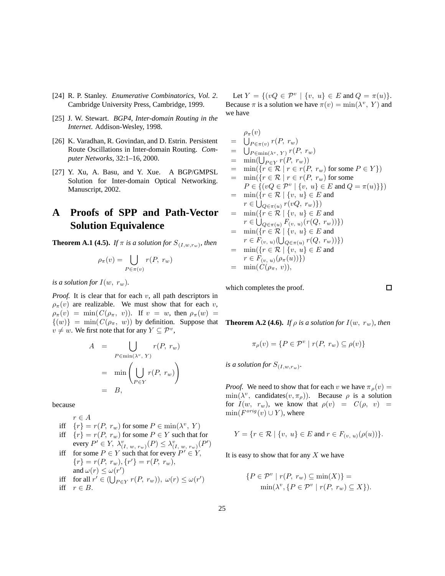- [24] R. P. Stanley. *Enumerative Combinatorics, Vol. 2*. Cambridge University Press, Cambridge, 1999.
- [25] J. W. Stewart. *BGP4, Inter-domain Routing in the Internet*. Addison-Wesley, 1998.
- [26] K. Varadhan, R. Govindan, and D. Estrin. Persistent Route Oscillations in Inter-domain Routing. *Computer Networks*, 32:1–16, 2000.
- [27] Y. Xu, A. Basu, and Y. Xue. A BGP/GMPSL Solution for Inter-domain Optical Networking. Manuscript, 2002.

## **A Proofs of SPP and Path-Vector Solution Equivalence**

**Theorem A.1 (4.5).** *If*  $\pi$  *is a solution for*  $S_{(I,w,r_w)}$ *, then* 

$$
\rho_{\pi}(v) = \bigcup_{P \in \pi(v)} r(P, r_w)
$$

*is a solution for*  $I(w, r_w)$ *.* 

*Proof.* It is clear that for each v, all path descriptors in  $\rho_{\pi}(v)$  are realizable. We must show that for each v,  $\rho_{\pi}(v) = \min(C(\rho_{\pi}, v))$ . If  $v = w$ , then  $\rho_{\pi}(w) =$  $\{(w)\}\ =\ \min(C(\rho_{\pi}, w))$  by definition. Suppose that  $v \neq w$ . We first note that for any  $Y \subseteq \mathcal{P}^v$ ,

$$
A = \bigcup_{P \in \min(\lambda^v, Y)} r(P, r_w)
$$
  
= 
$$
\min \left( \bigcup_{P \in Y} r(P, r_w) \right)
$$
  
= 
$$
B,
$$

because

$$
r \in A
$$
  
iff  ${r} = r(P, r_w)$  for some  $P \in min(\lambda^v, Y)$ 

iff  ${r} = r(P, r_w)$  for some  $P \in Y$  such that for every  $P' \in Y$ ,  $\lambda_{(I, w, r_w)}^v(P) \leq \lambda_{(I, w, r_w)}^v(P')$ 

\n if 
$$
f(x) = P \in Y
$$
 such that for every  $P' \in Y$ ,  $\{r\} = r(P, r_w), \{r'\} = r(P, r_w)$ ,  $f(x) \leq \omega(r')$ \n

\n\n if  $f(x) = \omega(r')$ \n

\n\n if  $f(x) = \omega(r')$ \n

$$
\text{if} \quad r \in B. \quad \text{if} \quad r \in (U_{P \in Y} r(r, r_w)), \ \omega(r) \le \omega
$$

Let  $Y = \{(vQ \in \mathcal{P}^v \mid \{v, u\} \in E \text{ and } Q = \pi(u)\}.$ Because  $\pi$  is a solution we have  $\pi(v) = \min(\lambda^v, Y)$  and we have

$$
\rho_{\pi}(v) = \bigcup_{P \in \pi(v)} r(P, r_w) \n= \bigcup_{P \in \min(\lambda^v, Y)} r(P, r_w) \n= \min(\bigcup_{P \in Y} r(P, r_w)) \n= \min(\{r \in \mathcal{R} \mid r \in r(P, r_w) \text{ for some } P \in Y\}) \n= \min(\{r \in \mathcal{R} \mid r \in r(P, r_w) \text{ for some } P \in Y\}) \n= P \in \{(vQ \in \mathcal{P}^v \mid \{v, u\} \in E \text{ and } Q = \pi(u)\}\}) \n= \min(\{r \in \mathcal{R} \mid v, u\} \in E \text{ and } r \in \bigcup_{Q \in \pi(u)} r(vQ, r_w)\}) \n= \min(\{r \in \mathcal{R} \mid \{v, u\} \in E \text{ and } r \in \bigcup_{Q \in \pi(u)} F(v, u) (r(Q, r_w))\}) \n= \min(\{r \in \mathcal{R} \mid \{v, u\} \in E \text{ and } r \in F(v, u) (\bigcup_{Q \in \pi(u)} r(Q, r_w))\}) \n= \min(\{r \in \mathcal{R} \mid \{v, u\} \in E \text{ and } r \in F(v, u) (\rho_{\pi}(u))^{\{0\}}\}) \n= \min(C(\rho_{\pi}, v)),
$$

which completes the proof.

**Theorem A.2 (4.6).** *If*  $\rho$  *is a solution for*  $I(w, r_w)$ *, then* 

$$
\pi_{\rho}(v) = \{ P \in \mathcal{P}^v \mid r(P, r_w) \subseteq \rho(v) \}
$$

*is a solution for*  $S_{(I,w,r_w)}$ .

*Proof.* We need to show that for each v we have  $\pi_{\rho}(v)$  =  $\min(\lambda^v, \text{ candidates}(v, \pi_\rho)).$  Because  $\rho$  is a solution for  $I(w, r_w)$ , we know that  $\rho(v) = C(\rho, v)$  $min(F^{orig}(v) \cup Y)$ , where

$$
Y = \{ r \in \mathcal{R} \mid \{ v, u \} \in E \text{ and } r \in F_{(v, u)}(\rho(u)) \}.
$$

It is easy to show that for any  $X$  we have

$$
\{P \in \mathcal{P}^v \mid r(P, r_w) \subseteq \min(X)\} =
$$
  

$$
\min(\lambda^v, \{P \in \mathcal{P}^v \mid r(P, r_w) \subseteq X\}).
$$

 $\Box$